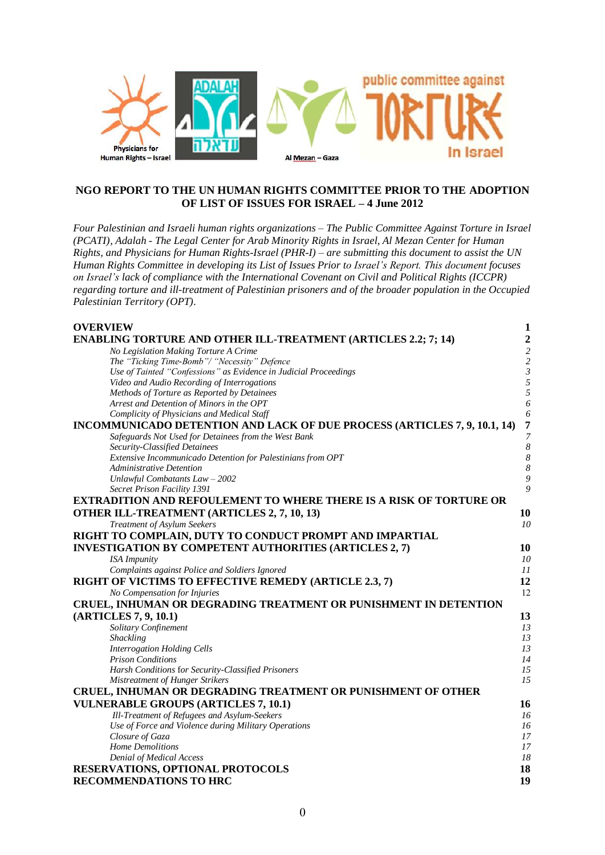

### **NGO REPORT TO THE UN HUMAN RIGHTS COMMITTEE PRIOR TO THE ADOPTION OF LIST OF ISSUES FOR ISRAEL – 4 June 2012**

*Four Palestinian and Israeli human rights organizations – The Public Committee Against Torture in Israel (PCATI), Adalah - The Legal Center for Arab Minority Rights in Israel, Al Mezan Center for Human Rights, and Physicians for Human Rights-Israel (PHR-I) – are submitting this document to assist the UN Human Rights Committee in developing its List of Issues Prior to Israel's Report. This document focuses on Israel's lack of compliance with the International Covenant on Civil and Political Rights (ICCPR) regarding torture and ill-treatment of Palestinian prisoners and of the broader population in the Occupied Palestinian Territory (OPT).*

| <b>OVERVIEW</b>                                                           | $\mathbf{1}$   |
|---------------------------------------------------------------------------|----------------|
| <b>ENABLING TORTURE AND OTHER ILL-TREATMENT (ARTICLES 2.2; 7; 14)</b>     | $\overline{2}$ |
| No Legislation Making Torture A Crime                                     | $\overline{c}$ |
| The "Ticking Time-Bomb"/ "Necessity" Defence                              | $\overline{c}$ |
| Use of Tainted "Confessions" as Evidence in Judicial Proceedings          | $\mathfrak{Z}$ |
| Video and Audio Recording of Interrogations                               | 5              |
| Methods of Torture as Reported by Detainees                               | 5              |
| Arrest and Detention of Minors in the OPT                                 | 6              |
| Complicity of Physicians and Medical Staff                                | 6              |
| INCOMMUNICADO DETENTION AND LACK OF DUE PROCESS (ARTICLES 7, 9, 10.1, 14) | $\overline{7}$ |
| Safeguards Not Used for Detainees from the West Bank                      | $\overline{7}$ |
| Security-Classified Detainees                                             | 8              |
| Extensive Incommunicado Detention for Palestinians from OPT               | 8              |
| <b>Administrative Detention</b>                                           | 8              |
| Unlawful Combatants Law - 2002                                            | 9              |
| Secret Prison Facility 1391                                               | 9              |
| <b>EXTRADITION AND REFOULEMENT TO WHERE THERE IS A RISK OF TORTURE OR</b> |                |
| <b>OTHER ILL-TREATMENT (ARTICLES 2, 7, 10, 13)</b>                        | 10             |
| Treatment of Asylum Seekers                                               | 10             |
| RIGHT TO COMPLAIN, DUTY TO CONDUCT PROMPT AND IMPARTIAL                   |                |
| INVESTIGATION BY COMPETENT AUTHORITIES (ARTICLES 2, 7)                    | 10             |
| <b>ISA</b> Impunity                                                       | 10             |
| Complaints against Police and Soldiers Ignored                            | 11             |
| RIGHT OF VICTIMS TO EFFECTIVE REMEDY (ARTICLE 2.3, 7)                     | 12             |
| No Compensation for Injuries                                              | 12             |
| CRUEL, INHUMAN OR DEGRADING TREATMENT OR PUNISHMENT IN DETENTION          |                |
| (ARTICLES 7, 9, 10.1)                                                     | 13             |
| Solitary Confinement                                                      | 13             |
| <b>Shackling</b>                                                          | 13             |
| <b>Interrogation Holding Cells</b>                                        | 13             |
| <b>Prison Conditions</b>                                                  | 14             |
| Harsh Conditions for Security-Classified Prisoners                        | 15             |
| Mistreatment of Hunger Strikers                                           | 15             |
| CRUEL, INHUMAN OR DEGRADING TREATMENT OR PUNISHMENT OF OTHER              |                |
|                                                                           |                |
| <b>VULNERABLE GROUPS (ARTICLES 7, 10.1)</b>                               | 16             |
| Ill-Treatment of Refugees and Asylum-Seekers                              | 16             |
| Use of Force and Violence during Military Operations                      | 16             |
| Closure of Gaza                                                           | 17             |
| Home Demolitions                                                          | 17<br>18       |
| Denial of Medical Access                                                  |                |
| <b>RESERVATIONS, OPTIONAL PROTOCOLS</b>                                   | 18             |
| <b>RECOMMENDATIONS TO HRC</b>                                             | 19             |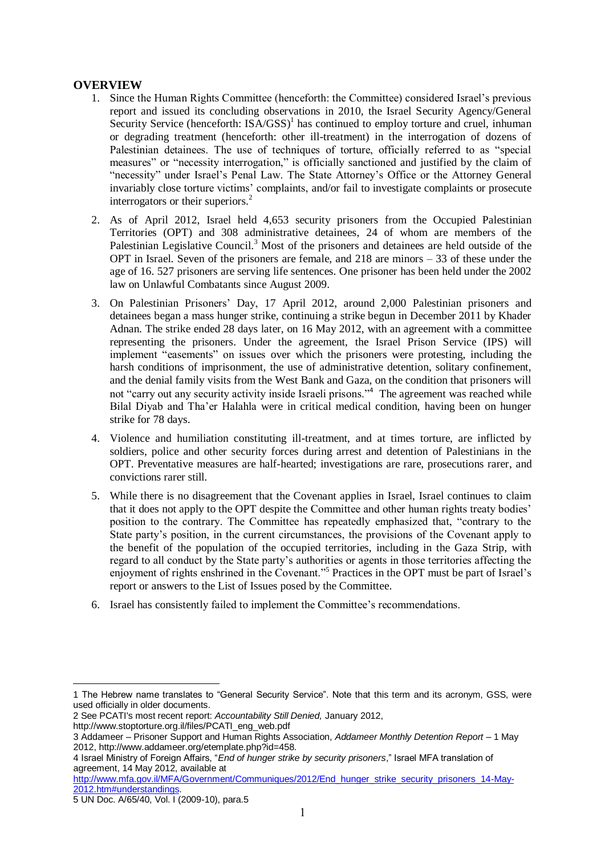### **OVERVIEW**

- 1. Since the Human Rights Committee (henceforth: the Committee) considered Israel's previous report and issued its concluding observations in 2010, the Israel Security Agency/General Security Service (henceforth: ISA/GSS)<sup>1</sup> has continued to employ torture and cruel, inhuman or degrading treatment (henceforth: other ill-treatment) in the interrogation of dozens of Palestinian detainees. The use of techniques of torture, officially referred to as "special measures" or "necessity interrogation," is officially sanctioned and justified by the claim of "necessity" under Israel's Penal Law. The State Attorney's Office or the Attorney General invariably close torture victims' complaints, and/or fail to investigate complaints or prosecute interrogators or their superiors.<sup>2</sup>
- 2. As of April 2012, Israel held 4,653 security prisoners from the Occupied Palestinian Territories (OPT) and 308 administrative detainees, 24 of whom are members of the Palestinian Legislative Council.<sup>3</sup> Most of the prisoners and detainees are held outside of the OPT in Israel. Seven of the prisoners are female, and 218 are minors – 33 of these under the age of 16. 527 prisoners are serving life sentences. One prisoner has been held under the 2002 law on Unlawful Combatants since August 2009.
- 3. On Palestinian Prisoners' Day, 17 April 2012, around 2,000 Palestinian prisoners and detainees began a mass hunger strike, continuing a strike begun in December 2011 by Khader Adnan. The strike ended 28 days later, on 16 May 2012, with an agreement with a committee representing the prisoners. Under the agreement, the Israel Prison Service (IPS) will implement "easements" on issues over which the prisoners were protesting, including the harsh conditions of imprisonment, the use of administrative detention, solitary confinement, and the denial family visits from the West Bank and Gaza, on the condition that prisoners will not "carry out any security activity inside Israeli prisons."<sup>4</sup> The agreement was reached while Bilal Diyab and Tha'er Halahla were in critical medical condition, having been on hunger strike for 78 days.
- 4. Violence and humiliation constituting ill-treatment, and at times torture, are inflicted by soldiers, police and other security forces during arrest and detention of Palestinians in the OPT. Preventative measures are half-hearted; investigations are rare, prosecutions rarer, and convictions rarer still.
- 5. While there is no disagreement that the Covenant applies in Israel, Israel continues to claim that it does not apply to the OPT despite the Committee and other human rights treaty bodies' position to the contrary. The Committee has repeatedly emphasized that, "contrary to the State party's position, in the current circumstances, the provisions of the Covenant apply to the benefit of the population of the occupied territories, including in the Gaza Strip, with regard to all conduct by the State party's authorities or agents in those territories affecting the enjoyment of rights enshrined in the Covenant."<sup>5</sup> Practices in the OPT must be part of Israel's report or answers to the List of Issues posed by the Committee.
- 6. Israel has consistently failed to implement the Committee's recommendations.

2 See PCATI's most recent report: *Accountability Still Denied,* January 2012,

<u>.</u>

<sup>1</sup> The Hebrew name translates to "General Security Service". Note that this term and its acronym, GSS, were used officially in older documents.

[http://www.stoptorture.org.il/files/PCATI\\_eng\\_web.pdf](http://www.stoptorture.org.il/files/PCATI_eng_web.pdf)

<sup>3</sup> Addameer – Prisoner Support and Human Rights Association, *Addameer Monthly Detention Report* – 1 May 2012, http://www.addameer.org/etemplate.php?id=458.

<sup>4</sup> Israel Ministry of Foreign Affairs, "*End of hunger strike by security prisoners*," Israel MFA translation of agreement, 14 May 2012, available at

[http://www.mfa.gov.il/MFA/Government/Communiques/2012/End\\_hunger\\_strike\\_security\\_prisoners\\_14-May-](http://www.mfa.gov.il/MFA/Government/Communiques/2012/End_hunger_strike_security_prisoners_14-May-2012.htm#understandings)[2012.htm#understandings.](http://www.mfa.gov.il/MFA/Government/Communiques/2012/End_hunger_strike_security_prisoners_14-May-2012.htm#understandings) 

<sup>5</sup> UN Doc. A/65/40, Vol. I (2009-10), para.5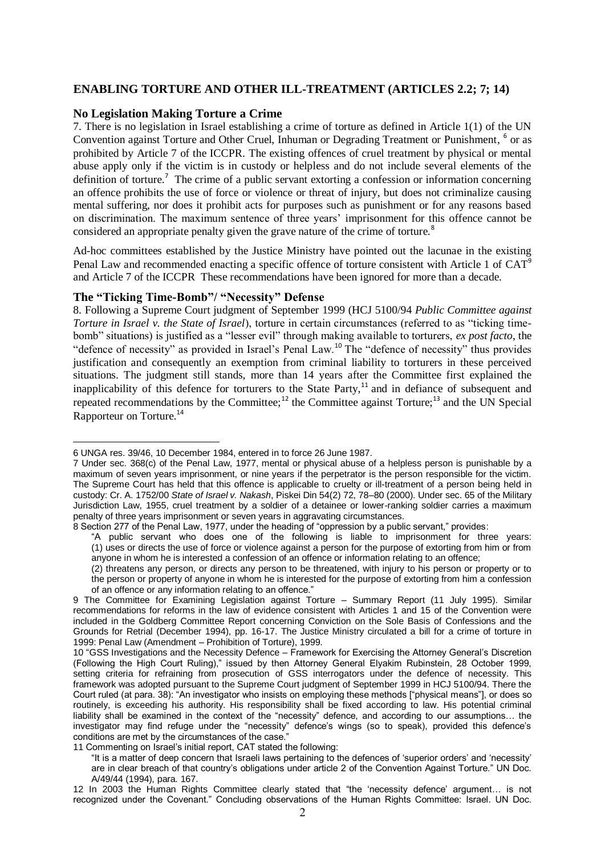#### **ENABLING TORTURE AND OTHER ILL-TREATMENT (ARTICLES 2.2; 7; 14)**

#### **No Legislation Making Torture a Crime**

7. There is no legislation in Israel establishing a crime of torture as defined in Article 1(1) of the UN Convention against Torture and Other Cruel, Inhuman or Degrading Treatment or Punishment, <sup>6</sup> or as prohibited by Article 7 of the ICCPR. The existing offences of cruel treatment by physical or mental abuse apply only if the victim is in custody or helpless and do not include several elements of the definition of torture.<sup>7</sup> The crime of a public servant extorting a confession or information concerning an offence prohibits the use of force or violence or threat of injury, but does not criminalize causing mental suffering, nor does it prohibit acts for purposes such as punishment or for any reasons based on discrimination. The maximum sentence of three years' imprisonment for this offence cannot be considered an appropriate penalty given the grave nature of the crime of torture.<sup>8</sup>

Ad-hoc committees established by the Justice Ministry have pointed out the lacunae in the existing Penal Law and recommended enacting a specific offence of torture consistent with Article 1 of CAT<sup>9</sup> and Article 7 of the ICCPR These recommendations have been ignored for more than a decade.

#### **The "Ticking Time-Bomb"/ "Necessity" Defense**

8. Following a Supreme Court judgment of September 1999 (HCJ 5100/94 *Public Committee against Torture in Israel v. the State of Israel*), torture in certain circumstances (referred to as "ticking timebomb" situations) is justified as a "lesser evil" through making available to torturers, *ex post facto*, the "defence of necessity" as provided in Israel's Penal Law.<sup>10</sup> The "defence of necessity" thus provides justification and consequently an exemption from criminal liability to torturers in these perceived situations. The judgment still stands, more than 14 years after the Committee first explained the inapplicability of this defence for torturers to the State Party,<sup>11</sup> and in defiance of subsequent and repeated recommendations by the Committee;<sup>12</sup> the Committee against Torture;<sup>13</sup> and the UN Special Rapporteur on Torture.<sup>14</sup>

<sup>&</sup>lt;u>.</u> 6 UNGA res. 39/46, 10 December 1984, entered in to force 26 June 1987.

<sup>7</sup> Under sec. 368(c) of the Penal Law, 1977, mental or physical abuse of a helpless person is punishable by a maximum of seven years imprisonment, or nine years if the perpetrator is the person responsible for the victim. The Supreme Court has held that this offence is applicable to cruelty or ill-treatment of a person being held in custody: Cr. A. 1752/00 *State of Israel v. Nakash*, Piskei Din 54(2) 72, 78–80 (2000). Under sec. 65 of the Military Jurisdiction Law, 1955, cruel treatment by a soldier of a detainee or lower-ranking soldier carries a maximum penalty of three years imprisonment or seven years in aggravating circumstances.

<sup>8</sup> Section 277 of the Penal Law, 1977, under the heading of "oppression by a public servant," provides:

<sup>&</sup>quot;A public servant who does one of the following is liable to imprisonment for three years: (1) uses or directs the use of force or violence against a person for the purpose of extorting from him or from anyone in whom he is interested a confession of an offence or information relating to an offence;

<sup>(2)</sup> threatens any person, or directs any person to be threatened, with injury to his person or property or to the person or property of anyone in whom he is interested for the purpose of extorting from him a confession of an offence or any information relating to an offence."

<sup>9</sup> The Committee for Examining Legislation against Torture – Summary Report (11 July 1995). Similar recommendations for reforms in the law of evidence consistent with Articles 1 and 15 of the Convention were included in the Goldberg Committee Report concerning Conviction on the Sole Basis of Confessions and the Grounds for Retrial (December 1994), pp. 16-17. The Justice Ministry circulated a bill for a crime of torture in 1999: Penal Law (Amendment – Prohibition of Torture), 1999.

<sup>10</sup> "GSS Investigations and the Necessity Defence – Framework for Exercising the Attorney General's Discretion (Following the High Court Ruling)," issued by then Attorney General Elyakim Rubinstein, 28 October 1999, setting criteria for refraining from prosecution of GSS interrogators under the defence of necessity. This framework was adopted pursuant to the Supreme Court judgment of September 1999 in HCJ 5100/94. There the Court ruled (at para. 38): "An investigator who insists on employing these methods ["physical means"], or does so routinely, is exceeding his authority. His responsibility shall be fixed according to law. His potential criminal liability shall be examined in the context of the "necessity" defence, and according to our assumptions… the investigator may find refuge under the "necessity" defence's wings (so to speak), provided this defence's conditions are met by the circumstances of the case."

<sup>11</sup> Commenting on Israel's initial report, CAT stated the following:

<sup>&</sup>quot;It is a matter of deep concern that Israeli laws pertaining to the defences of 'superior orders' and 'necessity' are in clear breach of that country's obligations under article 2 of the Convention Against Torture." UN Doc. A/49/44 (1994), para. 167.

<sup>12</sup> In 2003 the Human Rights Committee clearly stated that "the 'necessity defence' argument… is not recognized under the Covenant." Concluding observations of the Human Rights Committee: Israel. UN Doc.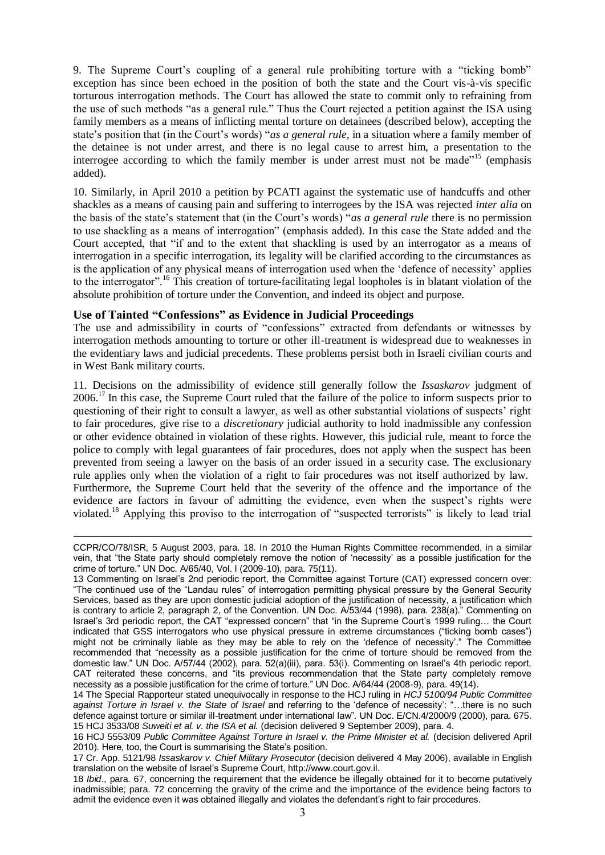9. The Supreme Court's coupling of a general rule prohibiting torture with a "ticking bomb" exception has since been echoed in the position of both the state and the Court vis-à-vis specific torturous interrogation methods. The Court has allowed the state to commit only to refraining from the use of such methods "as a general rule." Thus the Court rejected a petition against the ISA using family members as a means of inflicting mental torture on detainees (described below), accepting the state's position that (in the Court's words) "*as a general rule*, in a situation where a family member of the detainee is not under arrest, and there is no legal cause to arrest him, a presentation to the interrogee according to which the family member is under arrest must not be made"<sup>15</sup> (emphasis added).

10. Similarly, in April 2010 a petition by PCATI against the systematic use of handcuffs and other shackles as a means of causing pain and suffering to interrogees by the ISA was rejected *inter alia* on the basis of the state's statement that (in the Court's words) "*as a general rule* there is no permission to use shackling as a means of interrogation" (emphasis added). In this case the State added and the Court accepted, that "if and to the extent that shackling is used by an interrogator as a means of interrogation in a specific interrogation, its legality will be clarified according to the circumstances as is the application of any physical means of interrogation used when the 'defence of necessity' applies to the interrogator".<sup>16</sup> This creation of torture-facilitating legal loopholes is in blatant violation of the absolute prohibition of torture under the Convention, and indeed its object and purpose.

### **Use of Tainted "Confessions" as Evidence in Judicial Proceedings**

The use and admissibility in courts of "confessions" extracted from defendants or witnesses by interrogation methods amounting to torture or other ill-treatment is widespread due to weaknesses in the evidentiary laws and judicial precedents. These problems persist both in Israeli civilian courts and in West Bank military courts.

11. Decisions on the admissibility of evidence still generally follow the *Issaskarov* judgment of 2006.<sup>17</sup> In this case, the Supreme Court ruled that the failure of the police to inform suspects prior to questioning of their right to consult a lawyer, as well as other substantial violations of suspects' right to fair procedures, give rise to a *discretionary* judicial authority to hold inadmissible any confession or other evidence obtained in violation of these rights. However, this judicial rule, meant to force the police to comply with legal guarantees of fair procedures, does not apply when the suspect has been prevented from seeing a lawyer on the basis of an order issued in a security case. The exclusionary rule applies only when the violation of a right to fair procedures was not itself authorized by law. Furthermore, the Supreme Court held that the severity of the offence and the importance of the evidence are factors in favour of admitting the evidence, even when the suspect's rights were violated.<sup>18</sup> Applying this proviso to the interrogation of "suspected terrorists" is likely to lead trial

 $\overline{a}$ CCPR/CO/78/ISR, 5 August 2003, para. 18. In 2010 the Human Rights Committee recommended, in a similar vein, that "the State party should completely remove the notion of 'necessity' as a possible justification for the crime of torture." UN Doc. A/65/40, Vol. I (2009-10), para. 75(11).

<sup>13</sup> Commenting on Israel's 2nd periodic report, the Committee against Torture (CAT) expressed concern over: "The continued use of the "Landau rules" of interrogation permitting physical pressure by the General Security Services, based as they are upon domestic judicial adoption of the justification of necessity, a justification which is contrary to article 2, paragraph 2, of the Convention. UN Doc. A/53/44 (1998), para. 238(a)." Commenting on Israel's 3rd periodic report, the CAT "expressed concern" that "in the Supreme Court's 1999 ruling… the Court indicated that GSS interrogators who use physical pressure in extreme circumstances ("ticking bomb cases") might not be criminally liable as they may be able to rely on the 'defence of necessity'." The Committee recommended that "necessity as a possible justification for the crime of torture should be removed from the domestic law." UN Doc. A/57/44 (2002), para. 52(a)(iii), para. 53(i). Commenting on Israel's 4th periodic report, CAT reiterated these concerns, and "its previous recommendation that the State party completely remove necessity as a possible justification for the crime of torture." UN Doc. A/64/44 (2008-9), para. 49(14).

<sup>14</sup> The Special Rapporteur stated unequivocally in response to the HCJ ruling in *HCJ 5100/94 Public Committee against Torture in Israel v. the State of Israel* and referring to the 'defence of necessity': "…there is no such defence against torture or similar ill-treatment under international law". UN Doc. E/CN.4/2000/9 (2000), para. 675. 15 HCJ 3533/08 *Suweiti et al. v. the ISA et al.* (decision delivered 9 September 2009), para. 4.

<sup>16</sup> HCJ 5553/09 *Public Committee Against Torture in Israel v. the Prime Minister et al.* (decision delivered April 2010). Here, too, the Court is summarising the State's position.

<sup>17</sup> Cr. App. 5121/98 *Issaskarov v. Chief Military Prosecutor* (decision delivered 4 May 2006), available in English translation on the website of Israel's Supreme Court, http://www.court.gov.il.

<sup>18</sup> *Ibid*., para. 67, concerning the requirement that the evidence be illegally obtained for it to become putatively inadmissible; para. 72 concerning the gravity of the crime and the importance of the evidence being factors to admit the evidence even it was obtained illegally and violates the defendant's right to fair procedures.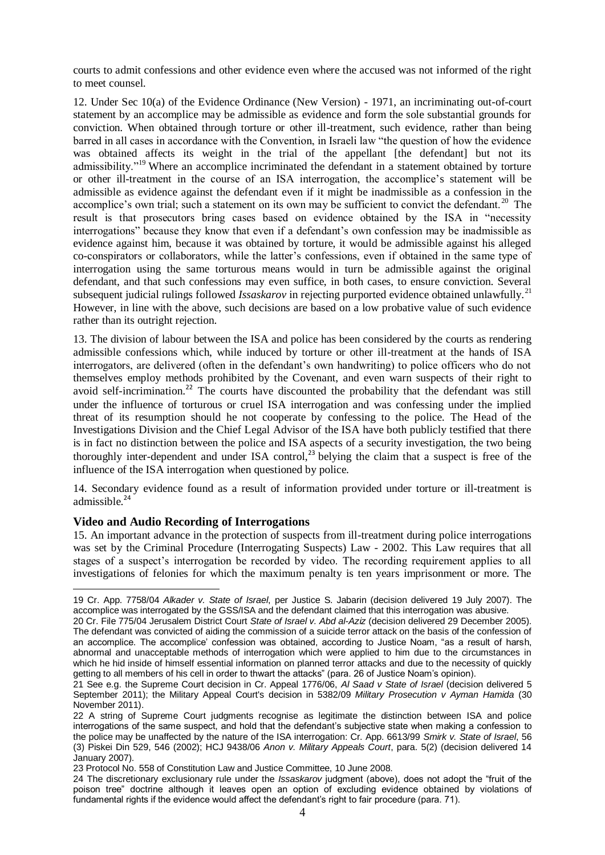courts to admit confessions and other evidence even where the accused was not informed of the right to meet counsel.

12. Under Sec 10(a) of the Evidence Ordinance (New Version) - 1971, an incriminating out-of-court statement by an accomplice may be admissible as evidence and form the sole substantial grounds for conviction. When obtained through torture or other ill-treatment, such evidence, rather than being barred in all cases in accordance with the Convention, in Israeli law "the question of how the evidence was obtained affects its weight in the trial of the appellant [the defendant] but not its admissibility."<sup>19</sup> Where an accomplice incriminated the defendant in a statement obtained by torture or other ill-treatment in the course of an ISA interrogation, the accomplice's statement will be admissible as evidence against the defendant even if it might be inadmissible as a confession in the accomplice's own trial; such a statement on its own may be sufficient to convict the defendant.<sup>20</sup> The result is that prosecutors bring cases based on evidence obtained by the ISA in "necessity interrogations" because they know that even if a defendant's own confession may be inadmissible as evidence against him, because it was obtained by torture, it would be admissible against his alleged co-conspirators or collaborators, while the latter's confessions, even if obtained in the same type of interrogation using the same torturous means would in turn be admissible against the original defendant, and that such confessions may even suffice, in both cases, to ensure conviction. Several subsequent judicial rulings followed *Issaskarov* in rejecting purported evidence obtained unlawfully.<sup>21</sup> However, in line with the above, such decisions are based on a low probative value of such evidence rather than its outright rejection.

13. The division of labour between the ISA and police has been considered by the courts as rendering admissible confessions which, while induced by torture or other ill-treatment at the hands of ISA interrogators, are delivered (often in the defendant's own handwriting) to police officers who do not themselves employ methods prohibited by the Covenant, and even warn suspects of their right to avoid self-incrimination.<sup>22</sup> The courts have discounted the probability that the defendant was still under the influence of torturous or cruel ISA interrogation and was confessing under the implied threat of its resumption should he not cooperate by confessing to the police. The Head of the Investigations Division and the Chief Legal Advisor of the ISA have both publicly testified that there is in fact no distinction between the police and ISA aspects of a security investigation, the two being thoroughly inter-dependent and under ISA control,<sup>23</sup> belying the claim that a suspect is free of the influence of the ISA interrogation when questioned by police.

14. Secondary evidence found as a result of information provided under torture or ill-treatment is admissible $24$ 

#### **Video and Audio Recording of Interrogations**

<u>.</u>

15. An important advance in the protection of suspects from ill-treatment during police interrogations was set by the Criminal Procedure (Interrogating Suspects) Law - 2002. This Law requires that all stages of a suspect's interrogation be recorded by video. The recording requirement applies to all investigations of felonies for which the maximum penalty is ten years imprisonment or more. The

<sup>19</sup> Cr. App. 7758/04 *Alkader v. State of Israel*, per Justice S. Jabarin (decision delivered 19 July 2007). The accomplice was interrogated by the GSS/ISA and the defendant claimed that this interrogation was abusive.

<sup>20</sup> Cr. File 775/04 Jerusalem District Court *State of Israel v. Abd al-Aziz* (decision delivered 29 December 2005). The defendant was convicted of aiding the commission of a suicide terror attack on the basis of the confession of an accomplice. The accomplice' confession was obtained, according to Justice Noam, "as a result of harsh, abnormal and unacceptable methods of interrogation which were applied to him due to the circumstances in which he hid inside of himself essential information on planned terror attacks and due to the necessity of quickly getting to all members of his cell in order to thwart the attacks" (para. 26 of Justice Noam's opinion).

<sup>21</sup> See e.g. the Supreme Court decision in Cr. Appeal 1776/06, *Al Saad v State of Israel* (decision delivered 5 September 2011); the Military Appeal Court's decision in 5382/09 *Military Prosecution v Ayman Hamida* (30 November 2011).

<sup>22</sup> A string of Supreme Court judgments recognise as legitimate the distinction between ISA and police interrogations of the same suspect, and hold that the defendant's subjective state when making a confession to the police may be unaffected by the nature of the ISA interrogation: Cr. App. 6613/99 *Smirk v. State of Israel*, 56 (3) Piskei Din 529, 546 (2002); HCJ 9438/06 *Anon v. Military Appeals Court*, para. 5(2) (decision delivered 14 January 2007).

<sup>23</sup> Protocol No. 558 of Constitution Law and Justice Committee, 10 June 2008.

<sup>24</sup> The discretionary exclusionary rule under the *Issaskarov* judgment (above), does not adopt the "fruit of the poison tree" doctrine although it leaves open an option of excluding evidence obtained by violations of fundamental rights if the evidence would affect the defendant's right to fair procedure (para. 71).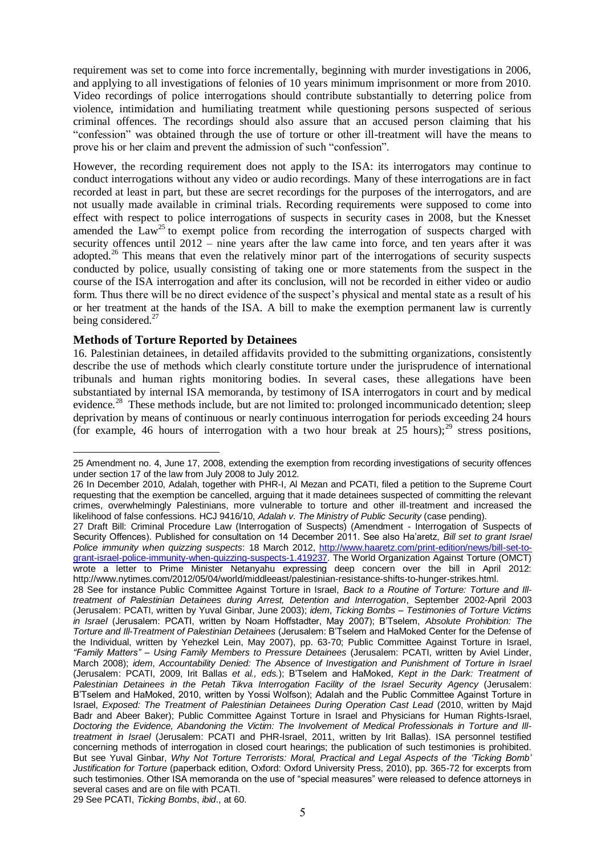requirement was set to come into force incrementally, beginning with murder investigations in 2006, and applying to all investigations of felonies of 10 years minimum imprisonment or more from 2010. Video recordings of police interrogations should contribute substantially to deterring police from violence, intimidation and humiliating treatment while questioning persons suspected of serious criminal offences. The recordings should also assure that an accused person claiming that his "confession" was obtained through the use of torture or other ill-treatment will have the means to prove his or her claim and prevent the admission of such "confession".

However, the recording requirement does not apply to the ISA: its interrogators may continue to conduct interrogations without any video or audio recordings. Many of these interrogations are in fact recorded at least in part, but these are secret recordings for the purposes of the interrogators, and are not usually made available in criminal trials. Recording requirements were supposed to come into effect with respect to police interrogations of suspects in security cases in 2008, but the Knesset amended the  $Law^{25}$  to exempt police from recording the interrogation of suspects charged with security offences until 2012 – nine years after the law came into force, and ten years after it was adopted.<sup>26</sup> This means that even the relatively minor part of the interrogations of security suspects conducted by police, usually consisting of taking one or more statements from the suspect in the course of the ISA interrogation and after its conclusion, will not be recorded in either video or audio form. Thus there will be no direct evidence of the suspect's physical and mental state as a result of his or her treatment at the hands of the ISA. A bill to make the exemption permanent law is currently being considered.<sup>27</sup>

### **Methods of Torture Reported by Detainees**

1

16. Palestinian detainees, in detailed affidavits provided to the submitting organizations, consistently describe the use of methods which clearly constitute torture under the jurisprudence of international tribunals and human rights monitoring bodies. In several cases, these allegations have been substantiated by internal ISA memoranda, by testimony of ISA interrogators in court and by medical evidence.<sup>28</sup> These methods include, but are not limited to: prolonged incommunicado detention; sleep deprivation by means of continuous or nearly continuous interrogation for periods exceeding 24 hours (for example, 46 hours of interrogation with a two hour break at  $25$  hours);<sup>29</sup> stress positions.

<sup>25</sup> Amendment no. 4, June 17, 2008, extending the exemption from recording investigations of security offences under section 17 of the law from July 2008 to July 2012.

<sup>26</sup> In December 2010, Adalah, together with PHR-I, Al Mezan and PCATI, filed a petition to the Supreme Court requesting that the exemption be cancelled, arguing that it made detainees suspected of committing the relevant crimes, overwhelmingly Palestinians, more vulnerable to torture and other ill-treatment and increased the likelihood of false confessions. HCJ 9416/10, *Adalah v. The Ministry of Public Security* (case pending).

<sup>27</sup> Draft Bill: Criminal Procedure Law (Interrogation of Suspects) (Amendment - Interrogation of Suspects of Security Offences). Published for consultation on 14 December 2011. See also Ha'aretz, *Bill set to grant Israel Police immunity when quizzing suspects*: 18 March 2012, [http://www.haaretz.com/print-edition/news/bill-set-to](http://www.haaretz.com/print-edition/news/bill-set-to-grant-israel-police-immunity-when-quizzing-suspects-1.419237)[grant-israel-police-immunity-when-quizzing-suspects-1.419237.](http://www.haaretz.com/print-edition/news/bill-set-to-grant-israel-police-immunity-when-quizzing-suspects-1.419237) The World Organization Against Torture (OMCT) wrote a letter to Prime Minister Netanyahu expressing deep concern over the bill in April 2012: http://www.nytimes.com/2012/05/04/world/middleeast/palestinian-resistance-shifts-to-hunger-strikes.html.

<sup>28</sup> See for instance Public Committee Against Torture in Israel, *Back to a Routine of Torture: Torture and Illtreatment of Palestinian Detainees during Arrest, Detention and Interrogation*, September 2002-April 2003 (Jerusalem: PCATI, written by Yuval Ginbar, June 2003); *idem*, *Ticking Bombs – Testimonies of Torture Victims in Israel* (Jerusalem: PCATI, written by Noam Hoffstadter, May 2007); B'Tselem, *Absolute Prohibition: The Torture and Ill-Treatment of Palestinian Detainees* (Jerusalem: B'Tselem and HaMoked Center for the Defense of the Individual, written by Yehezkel Lein, May 2007), pp. 63-70; Public Committee Against Torture in Israel, *"Family Matters" – Using Family Members to Pressure Detainees* (Jerusalem: PCATI, written by Aviel Linder, March 2008); *idem*, *Accountability Denied: The Absence of Investigation and Punishment of Torture in Israel* (Jerusalem: PCATI, 2009, Irit Ballas *et al., eds.*); B'Tselem and HaMoked, *Kept in the Dark: Treatment of Palestinian Detainees in the Petah Tikva Interrogation Facility of the Israel Security Agency* (Jerusalem: B'Tselem and HaMoked, 2010, written by Yossi Wolfson); Adalah and the Public Committee Against Torture in Israel, *Exposed: The Treatment of Palestinian Detainees During Operation Cast Lead* (2010, written by Majd Badr and Abeer Baker); Public Committee Against Torture in Israel and Physicians for Human Rights-Israel, *Doctoring the Evidence, Abandoning the Victim: The Involvement of Medical Professionals in Torture and Illtreatment in Israel* (Jerusalem: PCATI and PHR-Israel, 2011, written by Irit Ballas). ISA personnel testified concerning methods of interrogation in closed court hearings; the publication of such testimonies is prohibited. But see Yuval Ginbar, *Why Not Torture Terrorists: Moral, Practical and Legal Aspects of the 'Ticking Bomb' Justification for Torture* (paperback edition, Oxford: Oxford University Press, 2010), pp. 365-72 for excerpts from such testimonies. Other ISA memoranda on the use of "special measures" were released to defence attorneys in several cases and are on file with PCATI.

<sup>29</sup> See PCATI, *Ticking Bombs*, *ibid*., at 60.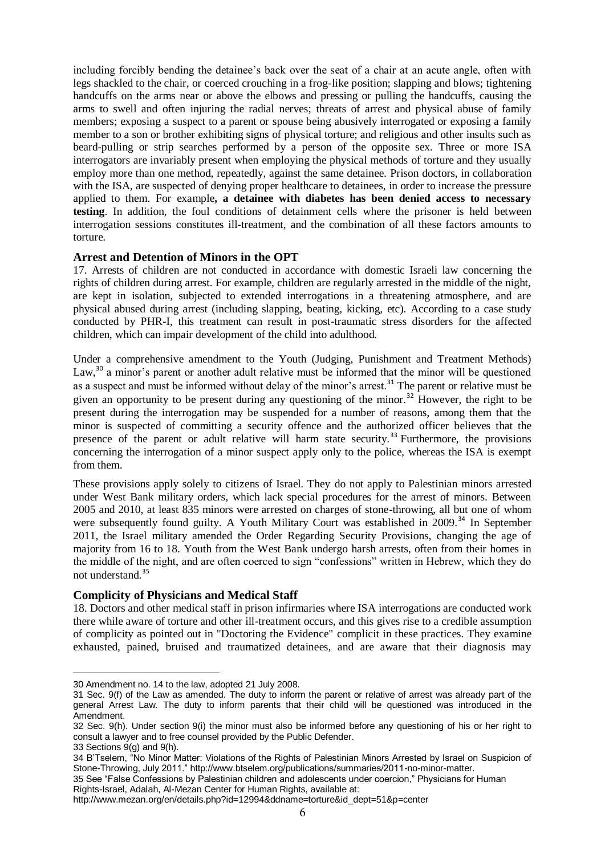including forcibly bending the detainee's back over the seat of a chair at an acute angle, often with legs shackled to the chair, or coerced crouching in a frog-like position; slapping and blows; tightening handcuffs on the arms near or above the elbows and pressing or pulling the handcuffs, causing the arms to swell and often injuring the radial nerves; threats of arrest and physical abuse of family members; exposing a suspect to a parent or spouse being abusively interrogated or exposing a family member to a son or brother exhibiting signs of physical torture; and religious and other insults such as beard-pulling or strip searches performed by a person of the opposite sex. Three or more ISA interrogators are invariably present when employing the physical methods of torture and they usually employ more than one method, repeatedly, against the same detainee. Prison doctors, in collaboration with the ISA, are suspected of denying proper healthcare to detainees, in order to increase the pressure applied to them. For example**, a detainee with diabetes has been denied access to necessary testing**. In addition, the foul conditions of detainment cells where the prisoner is held between interrogation sessions constitutes ill-treatment, and the combination of all these factors amounts to torture.

### **Arrest and Detention of Minors in the OPT**

17. Arrests of children are not conducted in accordance with domestic Israeli law concerning the rights of children during arrest. For example, children are regularly arrested in the middle of the night, are kept in isolation, subjected to extended interrogations in a threatening atmosphere, and are physical abused during arrest (including slapping, beating, kicking, etc). According to a case study conducted by PHR-I, this treatment can result in post-traumatic stress disorders for the affected children, which can impair development of the child into adulthood.

Under a comprehensive amendment to the Youth (Judging, Punishment and Treatment Methods) Law,<sup>30</sup> a minor's parent or another adult relative must be informed that the minor will be questioned as a suspect and must be informed without delay of the minor's arrest.<sup>31</sup> The parent or relative must be given an opportunity to be present during any questioning of the minor.<sup>32</sup> However, the right to be present during the interrogation may be suspended for a number of reasons, among them that the minor is suspected of committing a security offence and the authorized officer believes that the presence of the parent or adult relative will harm state security.<sup>33</sup> Furthermore, the provisions concerning the interrogation of a minor suspect apply only to the police, whereas the ISA is exempt from them.

These provisions apply solely to citizens of Israel. They do not apply to Palestinian minors arrested under West Bank military orders, which lack special procedures for the arrest of minors. Between 2005 and 2010, at least 835 minors were arrested on charges of stone-throwing, all but one of whom were subsequently found guilty. A Youth Military Court was established in 2009.<sup>34</sup> In September 2011, the Israel military amended the Order Regarding Security Provisions, changing the age of majority from 16 to 18. Youth from the West Bank undergo harsh arrests, often from their homes in the middle of the night, and are often coerced to sign "confessions" written in Hebrew, which they do not understand.<sup>35</sup>

#### **Complicity of Physicians and Medical Staff**

18. Doctors and other medical staff in prison infirmaries where ISA interrogations are conducted work there while aware of torture and other ill-treatment occurs, and this gives rise to a credible assumption of complicity as pointed out in "Doctoring the Evidence" complicit in these practices. They examine exhausted, pained, bruised and traumatized detainees, and are aware that their diagnosis may

<sup>&</sup>lt;u>.</u> 30 Amendment no. 14 to the law, adopted 21 July 2008.

<sup>31</sup> Sec. 9(f) of the Law as amended. The duty to inform the parent or relative of arrest was already part of the general Arrest Law. The duty to inform parents that their child will be questioned was introduced in the Amendment.

<sup>32</sup> Sec. 9(h). Under section 9(i) the minor must also be informed before any questioning of his or her right to consult a lawyer and to free counsel provided by the Public Defender.

<sup>33</sup> Sections 9(g) and 9(h).

<sup>34</sup> B'Tselem, "No Minor Matter: Violations of the Rights of Palestinian Minors Arrested by Israel on Suspicion of Stone-Throwing, July 2011." http://www.btselem.org/publications/summaries/2011-no-minor-matter.

<sup>35</sup> See "False Confessions by Palestinian children and adolescents under coercion," Physicians for Human

Rights-Israel, Adalah, Al-Mezan Center for Human Rights, available at:

http://www.mezan.org/en/details.php?id=12994&ddname=torture&id\_dept=51&p=center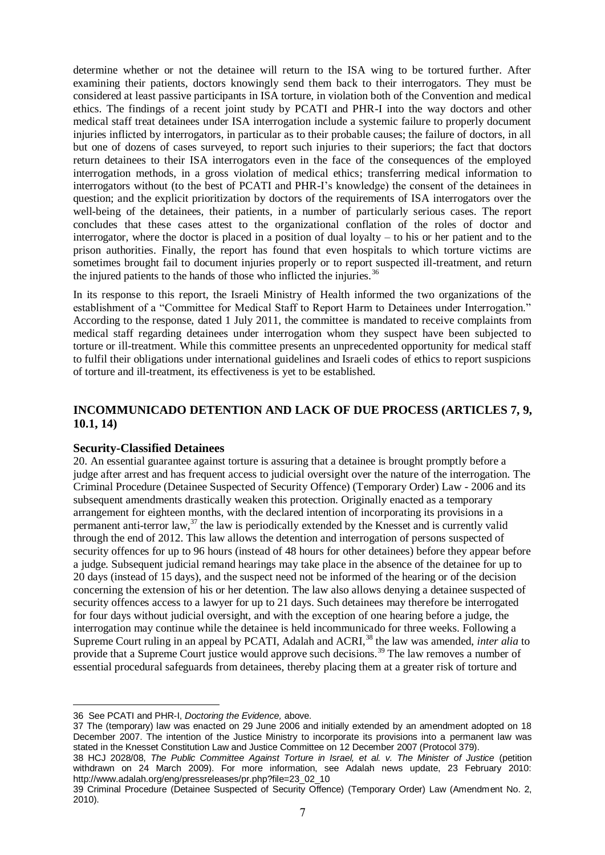determine whether or not the detainee will return to the ISA wing to be tortured further. After examining their patients, doctors knowingly send them back to their interrogators. They must be considered at least passive participants in ISA torture, in violation both of the Convention and medical ethics. The findings of a recent joint study by PCATI and PHR-I into the way doctors and other medical staff treat detainees under ISA interrogation include a systemic failure to properly document injuries inflicted by interrogators, in particular as to their probable causes; the failure of doctors, in all but one of dozens of cases surveyed, to report such injuries to their superiors; the fact that doctors return detainees to their ISA interrogators even in the face of the consequences of the employed interrogation methods, in a gross violation of medical ethics; transferring medical information to interrogators without (to the best of PCATI and PHR-I's knowledge) the consent of the detainees in question; and the explicit prioritization by doctors of the requirements of ISA interrogators over the well-being of the detainees, their patients, in a number of particularly serious cases. The report concludes that these cases attest to the organizational conflation of the roles of doctor and interrogator, where the doctor is placed in a position of dual loyalty – to his or her patient and to the prison authorities. Finally, the report has found that even hospitals to which torture victims are sometimes brought fail to document injuries properly or to report suspected ill-treatment, and return the injured patients to the hands of those who inflicted the injuries.<sup>36</sup>

In its response to this report, the Israeli Ministry of Health informed the two organizations of the establishment of a "Committee for Medical Staff to Report Harm to Detainees under Interrogation." According to the response, dated 1 July 2011, the committee is mandated to receive complaints from medical staff regarding detainees under interrogation whom they suspect have been subjected to torture or ill-treatment. While this committee presents an unprecedented opportunity for medical staff to fulfil their obligations under international guidelines and Israeli codes of ethics to report suspicions of torture and ill-treatment, its effectiveness is yet to be established.

# **INCOMMUNICADO DETENTION AND LACK OF DUE PROCESS (ARTICLES 7, 9, 10.1, 14)**

#### **Security-Classified Detainees**

20. An essential guarantee against torture is assuring that a detainee is brought promptly before a judge after arrest and has frequent access to judicial oversight over the nature of the interrogation. The Criminal Procedure (Detainee Suspected of Security Offence) (Temporary Order) Law - 2006 and its subsequent amendments drastically weaken this protection. Originally enacted as a temporary arrangement for eighteen months, with the declared intention of incorporating its provisions in a permanent anti-terror law, $37$  the law is periodically extended by the Knesset and is currently valid through the end of 2012. This law allows the detention and interrogation of persons suspected of security offences for up to 96 hours (instead of 48 hours for other detainees) before they appear before a judge. Subsequent judicial remand hearings may take place in the absence of the detainee for up to 20 days (instead of 15 days), and the suspect need not be informed of the hearing or of the decision concerning the extension of his or her detention. The law also allows denying a detainee suspected of security offences access to a lawyer for up to 21 days. Such detainees may therefore be interrogated for four days without judicial oversight, and with the exception of one hearing before a judge, the interrogation may continue while the detainee is held incommunicado for three weeks. Following a Supreme Court ruling in an appeal by PCATI, Adalah and ACRI,<sup>38</sup> the law was amended, *inter alia* to provide that a Supreme Court justice would approve such decisions.<sup>39</sup> The law removes a number of essential procedural safeguards from detainees, thereby placing them at a greater risk of torture and

<u>.</u>

<sup>36</sup> See PCATI and PHR-I, *Doctoring the Evidence,* above.

<sup>37</sup> The (temporary) law was enacted on 29 June 2006 and initially extended by an amendment adopted on 18 December 2007. The intention of the Justice Ministry to incorporate its provisions into a permanent law was stated in the Knesset Constitution Law and Justice Committee on 12 December 2007 (Protocol 379).

<sup>38</sup> HCJ 2028/08, *The Public Committee Against Torture in Israel, et al. v. The Minister of Justice* (petition withdrawn on 24 March 2009). For more information, see Adalah news update, 23 February 2010: http://www.adalah.org/eng/pressreleases/pr.php?file=23\_02\_10

<sup>39</sup> Criminal Procedure (Detainee Suspected of Security Offence) (Temporary Order) Law (Amendment No. 2, 2010).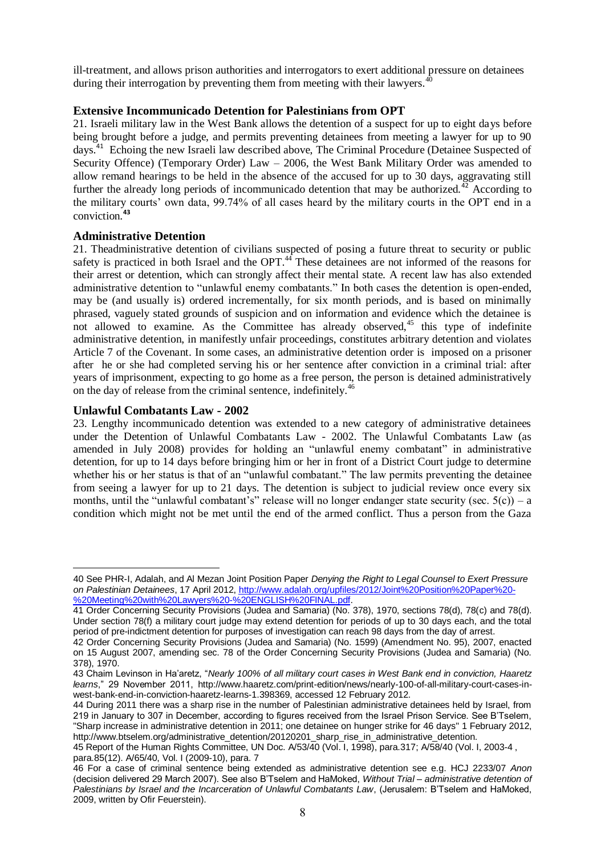ill-treatment, and allows prison authorities and interrogators to exert additional pressure on detainees during their interrogation by preventing them from meeting with their lawyers.<sup>4</sup>

### **Extensive Incommunicado Detention for Palestinians from OPT**

21. Israeli military law in the West Bank allows the detention of a suspect for up to eight days before being brought before a judge, and permits preventing detainees from meeting a lawyer for up to 90 days.<sup>41</sup> Echoing the new Israeli law described above, The Criminal Procedure (Detainee Suspected of Security Offence) (Temporary Order) Law – 2006, the West Bank Military Order was amended to allow remand hearings to be held in the absence of the accused for up to 30 days, aggravating still further the already long periods of incommunicado detention that may be authorized.<sup>42</sup> According to the military courts' own data, 99.74% of all cases heard by the military courts in the OPT end in a conviction.**<sup>43</sup>**

### **Administrative Detention**

21. Theadministrative detention of civilians suspected of posing a future threat to security or public safety is practiced in both Israel and the OPT.<sup>44</sup> These detainees are not informed of the reasons for their arrest or detention, which can strongly affect their mental state. A recent law has also extended administrative detention to "unlawful enemy combatants." In both cases the detention is open-ended, may be (and usually is) ordered incrementally, for six month periods, and is based on minimally phrased, vaguely stated grounds of suspicion and on information and evidence which the detainee is not allowed to examine. As the Committee has already observed,<sup>45</sup> this type of indefinite administrative detention, in manifestly unfair proceedings, constitutes arbitrary detention and violates Article 7 of the Covenant. In some cases, an administrative detention order is imposed on a prisoner after he or she had completed serving his or her sentence after conviction in a criminal trial: after years of imprisonment, expecting to go home as a free person, the person is detained administratively on the day of release from the criminal sentence, indefinitely.<sup>46</sup>

### **Unlawful Combatants Law - 2002**

<u>.</u>

23. Lengthy incommunicado detention was extended to a new category of administrative detainees under the Detention of Unlawful Combatants Law - 2002. The Unlawful Combatants Law (as amended in July 2008) provides for holding an "unlawful enemy combatant" in administrative detention, for up to 14 days before bringing him or her in front of a District Court judge to determine whether his or her status is that of an "unlawful combatant." The law permits preventing the detainee from seeing a lawyer for up to 21 days. The detention is subject to judicial review once every six months, until the "unlawful combatant's" release will no longer endanger state security (sec.  $5(c)$ ) – a condition which might not be met until the end of the armed conflict. Thus a person from the Gaza

<sup>40</sup> See PHR-I, Adalah, and Al Mezan Joint Position Paper *Denying the Right to Legal Counsel to Exert Pressure on Palestinian Detainees*[, 17 April 2012, http://www.adalah.org/upfiles/2012/Joint%20Position%20Paper%20-](http://www.adalah.org/upfiles/2012/Joint%20Position%20Paper%20-%20Meeting%20with%20Lawyers%20-%20ENGLISH%20FINAL.pdf) [%20Meeting%20with%20Lawyers%20-%20ENGLISH%20FINAL.pdf.](http://www.adalah.org/upfiles/2012/Joint%20Position%20Paper%20-%20Meeting%20with%20Lawyers%20-%20ENGLISH%20FINAL.pdf) 

<sup>41</sup> Order Concerning Security Provisions (Judea and Samaria) (No. 378), 1970, sections 78(d), 78(c) and 78(d). Under section 78(f) a military court judge may extend detention for periods of up to 30 days each, and the total period of pre-indictment detention for purposes of investigation can reach 98 days from the day of arrest.

<sup>42</sup> Order Concerning Security Provisions (Judea and Samaria) (No. 1599) (Amendment No. 95), 2007, enacted on 15 August 2007, amending sec. 78 of the Order Concerning Security Provisions (Judea and Samaria) (No. 378), 1970.

<sup>43</sup> Chaim Levinson in Ha'aretz, "*Nearly 100% of all military court cases in West Bank end in conviction, Haaretz learns*," 29 November 2011, [http://www.haaretz.com/print-edition/news/nearly-100-of-all-military-court-cases-in](http://www.haaretz.com/print-edition/news/nearly-100-of-all-military-court-cases-in-west-bank-end-in-conviction-haaretz-learns-1.398369)[west-bank-end-in-conviction-haaretz-learns-1.398369,](http://www.haaretz.com/print-edition/news/nearly-100-of-all-military-court-cases-in-west-bank-end-in-conviction-haaretz-learns-1.398369) accessed 12 February 2012.

<sup>44</sup> During 2011 there was a sharp rise in the number of Palestinian administrative detainees held by Israel, from 219 in January to 307 in December, according to figures received from the Israel Prison Service. See B'Tselem, "Sharp increase in administrative detention in 2011; one detainee on hunger strike for 46 days" 1 February 2012, http://www.btselem.org/administrative\_detention/20120201\_sharp\_rise\_in\_administrative\_detention.

<sup>45</sup> Report of the Human Rights Committee, UN Doc. A/53/40 (Vol. I, 1998), para.317; A/58/40 (Vol. I, 2003-4 , para.85(12). A/65/40, Vol. I (2009-10), para. 7

<sup>46</sup> For a case of criminal sentence being extended as administrative detention see e.g. HCJ 2233/07 *Anon* (decision delivered 29 March 2007). See also B'Tselem and HaMoked, *Without Trial – administrative detention of Palestinians by Israel and the Incarceration of Unlawful Combatants Law*, (Jerusalem: B'Tselem and HaMoked, 2009, written by Ofir Feuerstein).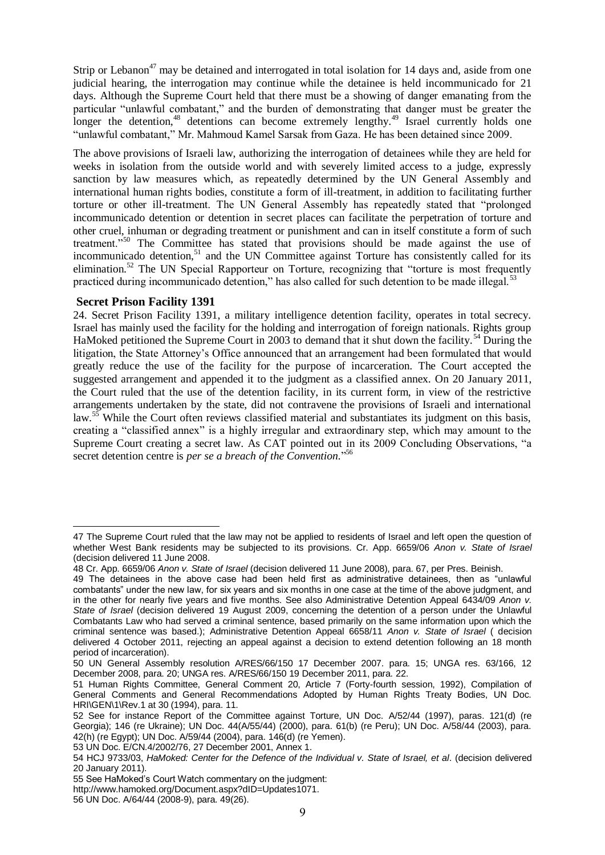Strip or Lebanon<sup>47</sup> may be detained and interrogated in total isolation for 14 days and, aside from one judicial hearing, the interrogation may continue while the detainee is held incommunicado for 21 days. Although the Supreme Court held that there must be a showing of danger emanating from the particular "unlawful combatant," and the burden of demonstrating that danger must be greater the longer the detention,<sup>48</sup> detentions can become extremely lengthy.<sup>49</sup> Israel currently holds one "unlawful combatant," Mr. Mahmoud Kamel Sarsak from Gaza. He has been detained since 2009.

The above provisions of Israeli law, authorizing the interrogation of detainees while they are held for weeks in isolation from the outside world and with severely limited access to a judge, expressly sanction by law measures which, as repeatedly determined by the UN General Assembly and international human rights bodies, constitute a form of ill-treatment, in addition to facilitating further torture or other ill-treatment. The UN General Assembly has repeatedly stated that "prolonged incommunicado detention or detention in secret places can facilitate the perpetration of torture and other cruel, inhuman or degrading treatment or punishment and can in itself constitute a form of such treatment."<sup>50</sup> The Committee has stated that provisions should be made against the use of incommunicado detention,<sup>51</sup> and the UN Committee against Torture has consistently called for its elimination.<sup>52</sup> The UN Special Rapporteur on Torture, recognizing that "torture is most frequently practiced during incommunicado detention," has also called for such detention to be made illegal.<sup>53</sup>

### **Secret Prison Facility 1391**

<u>.</u>

24. Secret Prison Facility 1391, a military intelligence detention facility, operates in total secrecy. Israel has mainly used the facility for the holding and interrogation of foreign nationals. Rights group HaMoked petitioned the Supreme Court in 2003 to demand that it shut down the facility.<sup>54</sup> During the litigation, the State Attorney's Office announced that an arrangement had been formulated that would greatly reduce the use of the facility for the purpose of incarceration. The Court accepted the suggested arrangement and appended it to the judgment as a classified annex. On 20 January 2011, the Court ruled that the use of the detention facility, in its current form, in view of the restrictive arrangements undertaken by the state, did not contravene the provisions of Israeli and international law.<sup>55</sup> While the Court often reviews classified material and substantiates its judgment on this basis, creating a "classified annex" is a highly irregular and extraordinary step, which may amount to the Supreme Court creating a secret law. As CAT pointed out in its 2009 Concluding Observations, "a secret detention centre is *per se a breach of the Convention.*" 56

<sup>47</sup> The Supreme Court ruled that the law may not be applied to residents of Israel and left open the question of whether West Bank residents may be subjected to its provisions. Cr. App. 6659/06 *Anon v. State of Israel*  (decision delivered 11 June 2008.

<sup>48</sup> Cr. App. 6659/06 *Anon v. State of Israel* (decision delivered 11 June 2008), para. 67, per Pres. Beinish.

<sup>49</sup> The detainees in the above case had been held first as administrative detainees, then as "unlawful combatants" under the new law, for six years and six months in one case at the time of the above judgment, and in the other for nearly five years and five months. See also Administrative Detention Appeal 6434/09 *Anon v. State of Israel* (decision delivered 19 August 2009, concerning the detention of a person under the Unlawful Combatants Law who had served a criminal sentence, based primarily on the same information upon which the criminal sentence was based.); Administrative Detention Appeal 6658/11 *Anon v. State of Israel* ( decision delivered 4 October 2011, rejecting an appeal against a decision to extend detention following an 18 month period of incarceration).

<sup>50</sup> UN General Assembly resolution A/RES/66/150 17 December 2007. para. 15; UNGA res. 63/166, 12 December 2008, para. 20; UNGA res. A/RES/66/150 19 December 2011, para. 22.

<sup>51</sup> Human Rights Committee, General Comment 20, Article 7 (Forty-fourth session, 1992), Compilation of General Comments and General Recommendations Adopted by Human Rights Treaty Bodies, UN Doc. HRI\GEN\1\Rev.1 at 30 (1994), para. 11.

<sup>52</sup> See for instance Report of the Committee against Torture, UN Doc. A/52/44 (1997), paras. 121(d) (re Georgia); 146 (re Ukraine); UN Doc. 44(A/55/44) (2000), para. 61(b) (re Peru); UN Doc. A/58/44 (2003), para. 42(h) (re Egypt); UN Doc. A/59/44 (2004), para. 146(d) (re Yemen).

<sup>53</sup> UN Doc. E/CN.4/2002/76, 27 December 2001, Annex 1.

<sup>54</sup> HCJ 9733/03, *HaMoked: Center for the Defence of the Individual v. State of Israel, et al*. (decision delivered 20 January 2011).

<sup>55</sup> See HaMoked's Court Watch commentary on the judgment:

http://www.hamoked.org/Document.aspx?dID=Updates1071.

<sup>56</sup> UN Doc. A/64/44 (2008-9), para. 49(26).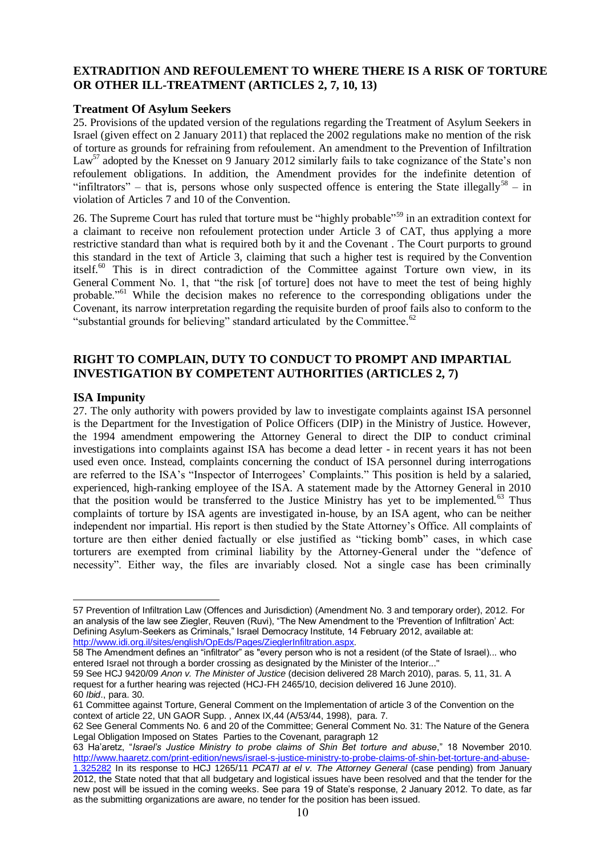# **EXTRADITION AND REFOULEMENT TO WHERE THERE IS A RISK OF TORTURE OR OTHER ILL-TREATMENT (ARTICLES 2, 7, 10, 13)**

### **Treatment Of Asylum Seekers**

25. Provisions of the updated version of the regulations regarding the Treatment of Asylum Seekers in Israel (given effect on 2 January 2011) that replaced the 2002 regulations make no mention of the risk of torture as grounds for refraining from refoulement. An amendment to the Prevention of Infiltration Law<sup>57</sup> adopted by the Knesset on 9 January 2012 similarly fails to take cognizance of the State's non refoulement obligations. In addition, the Amendment provides for the indefinite detention of "infiltrators" – that is, persons whose only suspected offence is entering the State illegally<sup>58</sup> – in violation of Articles 7 and 10 of the Convention.

26. The Supreme Court has ruled that torture must be "highly probable"<sup>59</sup> in an extradition context for a claimant to receive non refoulement protection under Article 3 of CAT, thus applying a more restrictive standard than what is required both by it and the Covenant . The Court purports to ground this standard in the text of Article 3, claiming that such a higher test is required by the Convention itself.<sup>60</sup> This is in direct contradiction of the Committee against Torture own view, in its General Comment No. 1, that "the risk [of torture] does not have to meet the test of being highly probable."<sup>61</sup> While the decision makes no reference to the corresponding obligations under the Covenant, its narrow interpretation regarding the requisite burden of proof fails also to conform to the "substantial grounds for believing" standard articulated by the Committee.<sup>62</sup>

# **RIGHT TO COMPLAIN, DUTY TO CONDUCT TO PROMPT AND IMPARTIAL INVESTIGATION BY COMPETENT AUTHORITIES (ARTICLES 2, 7)**

### **ISA Impunity**

<u>.</u>

27. The only authority with powers provided by law to investigate complaints against ISA personnel is the Department for the Investigation of Police Officers (DIP) in the Ministry of Justice. However, the 1994 amendment empowering the Attorney General to direct the DIP to conduct criminal investigations into complaints against ISA has become a dead letter - in recent years it has not been used even once. Instead, complaints concerning the conduct of ISA personnel during interrogations are referred to the ISA's "Inspector of Interrogees' Complaints." This position is held by a salaried, experienced, high-ranking employee of the ISA. A statement made by the Attorney General in 2010 that the position would be transferred to the Justice Ministry has yet to be implemented.<sup>63</sup> Thus complaints of torture by ISA agents are investigated in-house, by an ISA agent, who can be neither independent nor impartial. His report is then studied by the State Attorney's Office. All complaints of torture are then either denied factually or else justified as "ticking bomb" cases, in which case torturers are exempted from criminal liability by the Attorney-General under the "defence of necessity". Either way, the files are invariably closed. Not a single case has been criminally

<sup>57</sup> Prevention of Infiltration Law (Offences and Jurisdiction) (Amendment No. 3 and temporary order), 2012. For an analysis of the law see Ziegler, Reuven (Ruvi), "The New Amendment to the 'Prevention of Infiltration' Act: Defining Asylum-Seekers as Criminals," Israel Democracy Institute, 14 February 2012, available at: [http://www.idi.org.il/sites/english/OpEds/Pages/ZieglerInfiltration.aspx.](http://www.idi.org.il/sites/english/OpEds/Pages/ZieglerInfiltration.aspx)

<sup>58</sup> The Amendment defines an "infiltrator" as "every person who is not a resident (of the State of Israel)... who entered Israel not through a border crossing as designated by the Minister of the Interior..."

<sup>59</sup> See HCJ 9420/09 *Anon v. The Minister of Justice* (decision delivered 28 March 2010), paras. 5, 11, 31. A request for a further hearing was rejected (HCJ-FH 2465/10, decision delivered 16 June 2010). 60 *Ibid*., para. 30.

<sup>61</sup> Committee against Torture, General Comment on the Implementation of article 3 of the Convention on the context of article 22, UN GAOR Supp. , Annex IX,44 (A/53/44, 1998), para. 7.

<sup>62</sup> See General Comments No. 6 and 20 of the Committee; General Comment No. 31: The Nature of the Genera Legal Obligation Imposed on States Parties to the Covenant, paragraph 12

<sup>63</sup> Ha'aretz, "*Israel's Justice Ministry to probe claims of Shin Bet torture and abuse*," 18 November 2010. [http://www.haaretz.com/print-edition/news/israel-s-justice-ministry-to-probe-claims-of-shin-bet-torture-and-abuse-](http://www.haaretz.com/print-edition/news/israel-s-justice-ministry-to-probe-claims-of-shin-bet-torture-and-abuse-1.325282)[1.325282](http://www.haaretz.com/print-edition/news/israel-s-justice-ministry-to-probe-claims-of-shin-bet-torture-and-abuse-1.325282) In its response to HCJ 1265/11 *PCATI at el v. The Attorney General* (case pending) from January 2012, the State noted that that all budgetary and logistical issues have been resolved and that the tender for the new post will be issued in the coming weeks. See para 19 of State's response, 2 January 2012. To date, as far as the submitting organizations are aware, no tender for the position has been issued.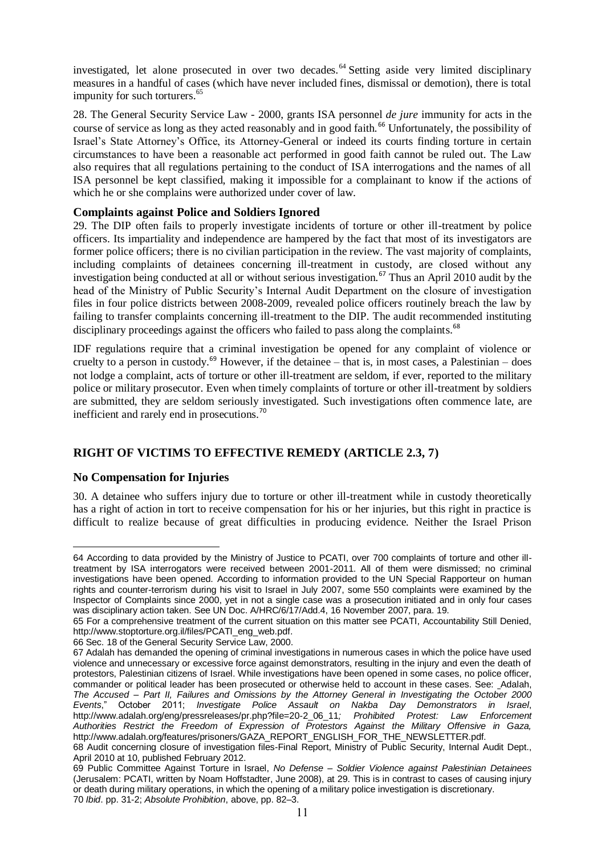investigated, let alone prosecuted in over two decades.<sup>64</sup> Setting aside very limited disciplinary measures in a handful of cases (which have never included fines, dismissal or demotion), there is total impunity for such torturers.<sup>65</sup>

28. The General Security Service Law - 2000, grants ISA personnel *de jure* immunity for acts in the course of service as long as they acted reasonably and in good faith.<sup>66</sup> Unfortunately, the possibility of Israel's State Attorney's Office, its Attorney-General or indeed its courts finding torture in certain circumstances to have been a reasonable act performed in good faith cannot be ruled out. The Law also requires that all regulations pertaining to the conduct of ISA interrogations and the names of all ISA personnel be kept classified, making it impossible for a complainant to know if the actions of which he or she complains were authorized under cover of law.

### **Complaints against Police and Soldiers Ignored**

29. The DIP often fails to properly investigate incidents of torture or other ill-treatment by police officers. Its impartiality and independence are hampered by the fact that most of its investigators are former police officers; there is no civilian participation in the review. The vast majority of complaints, including complaints of detainees concerning ill-treatment in custody, are closed without any investigation being conducted at all or without serious investigation.<sup>67</sup> Thus an April 2010 audit by the head of the Ministry of Public Security's Internal Audit Department on the closure of investigation files in four police districts between 2008-2009, revealed police officers routinely breach the law by failing to transfer complaints concerning ill-treatment to the DIP. The audit recommended instituting disciplinary proceedings against the officers who failed to pass along the complaints.<sup>68</sup>

IDF regulations require that a criminal investigation be opened for any complaint of violence or cruelty to a person in custody.<sup>69</sup> However, if the detainee – that is, in most cases, a Palestinian – does not lodge a complaint, acts of torture or other ill-treatment are seldom, if ever, reported to the military police or military prosecutor. Even when timely complaints of torture or other ill-treatment by soldiers are submitted, they are seldom seriously investigated. Such investigations often commence late, are inefficient and rarely end in prosecutions.<sup>70</sup>

# **RIGHT OF VICTIMS TO EFFECTIVE REMEDY (ARTICLE 2.3, 7)**

### **No Compensation for Injuries**

30. A detainee who suffers injury due to torture or other ill-treatment while in custody theoretically has a right of action in tort to receive compensation for his or her injuries, but this right in practice is difficult to realize because of great difficulties in producing evidence. Neither the Israel Prison

<sup>&</sup>lt;u>.</u> 64 According to data provided by the Ministry of Justice to PCATI, over 700 complaints of torture and other illtreatment by ISA interrogators were received between 2001-2011. All of them were dismissed; no criminal investigations have been opened. According to information provided to the UN Special Rapporteur on human rights and counter-terrorism during his visit to Israel in July 2007, some 550 complaints were examined by the Inspector of Complaints since 2000, yet in not a single case was a prosecution initiated and in only four cases was disciplinary action taken. See UN Doc. A/HRC/6/17/Add.4, 16 November 2007, para. 19.

<sup>65</sup> For a comprehensive treatment of the current situation on this matter see PCATI, Accountability Still Denied, [http://www.stoptorture.org.il/files/PCATI\\_eng\\_web.pdf.](http://www.stoptorture.org.il/files/PCATI_eng_web.pdf)

<sup>66</sup> Sec. 18 of the General Security Service Law, 2000.

<sup>67</sup> Adalah has demanded the opening of criminal investigations in numerous cases in which the police have used violence and unnecessary or excessive force against demonstrators, resulting in the injury and even the death of protestors, Palestinian citizens of Israel. While investigations have been opened in some cases, no police officer, commander or political leader has been prosecuted or otherwise held to account in these cases. See: Adalah, *The Accused – Part II, Failures and Omissions by the Attorney General in Investigating the October 2000 Events*," October 2011; *Investigate Police Assault on Nakba Day Demonstrators in Israel*, [http://www.adalah.org/eng/pressreleases/pr.php?file=20-2\\_06\\_11](http://www.adalah.org/eng/pressreleases/pr.php?file=20-2_06_11)*; Prohibited Protest: Law Enforcement Authorities Restrict the Freedom of Expression of Protestors Against the Military Offensive in Gaza,*  http://www.adalah.org/features/prisoners/GAZA\_REPORT\_ENGLISH\_FOR\_THE\_NEWSLETTER.pdf.

<sup>68</sup> Audit concerning closure of investigation files-Final Report, Ministry of Public Security, Internal Audit Dept., April 2010 at 10, published February 2012.

<sup>69</sup> Public Committee Against Torture in Israel, *No Defense – Soldier Violence against Palestinian Detainees*  (Jerusalem: PCATI, written by Noam Hoffstadter, June 2008), at 29. This is in contrast to cases of causing injury or death during military operations, in which the opening of a military police investigation is discretionary. 70 *Ibid*. pp. 31-2; *Absolute Prohibition*, above, pp. 82–3.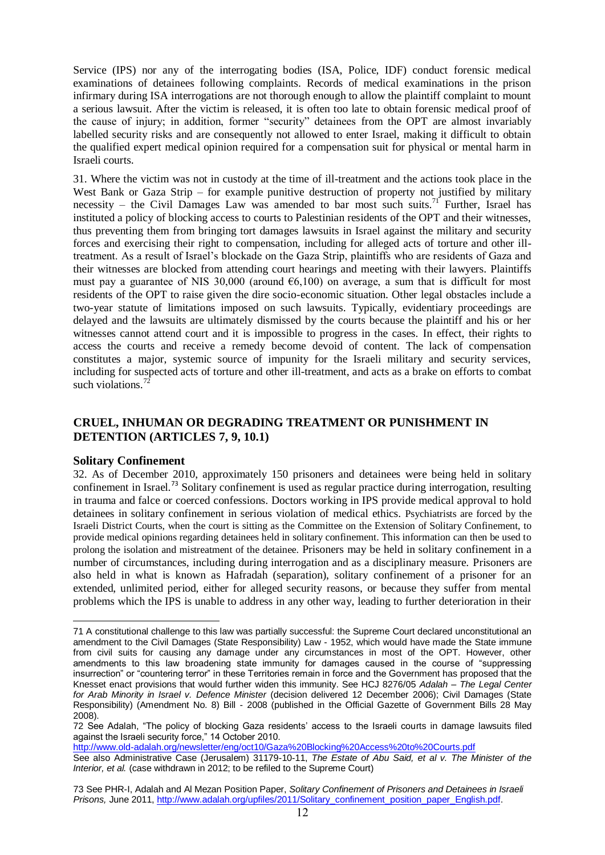Service (IPS) nor any of the interrogating bodies (ISA, Police, IDF) conduct forensic medical examinations of detainees following complaints. Records of medical examinations in the prison infirmary during ISA interrogations are not thorough enough to allow the plaintiff complaint to mount a serious lawsuit. After the victim is released, it is often too late to obtain forensic medical proof of the cause of injury; in addition, former "security" detainees from the OPT are almost invariably labelled security risks and are consequently not allowed to enter Israel, making it difficult to obtain the qualified expert medical opinion required for a compensation suit for physical or mental harm in Israeli courts.

31. Where the victim was not in custody at the time of ill-treatment and the actions took place in the West Bank or Gaza Strip – for example punitive destruction of property not justified by military necessity – the Civil Damages Law was amended to bar most such suits.<sup>71</sup> Further, Israel has instituted a policy of blocking access to courts to Palestinian residents of the OPT and their witnesses, thus preventing them from bringing tort damages lawsuits in Israel against the military and security forces and exercising their right to compensation, including for alleged acts of torture and other illtreatment. As a result of Israel's blockade on the Gaza Strip, plaintiffs who are residents of Gaza and their witnesses are blocked from attending court hearings and meeting with their lawyers. Plaintiffs must pay a guarantee of NIS 30,000 (around  $\epsilon$ 6,100) on average, a sum that is difficult for most residents of the OPT to raise given the dire socio-economic situation. Other legal obstacles include a two-year statute of limitations imposed on such lawsuits. Typically, evidentiary proceedings are delayed and the lawsuits are ultimately dismissed by the courts because the plaintiff and his or her witnesses cannot attend court and it is impossible to progress in the cases. In effect, their rights to access the courts and receive a remedy become devoid of content. The lack of compensation constitutes a major, systemic source of impunity for the Israeli military and security services, including for suspected acts of torture and other ill-treatment, and acts as a brake on efforts to combat such violations. $<sup>7</sup>$ </sup>

# **CRUEL, INHUMAN OR DEGRADING TREATMENT OR PUNISHMENT IN DETENTION (ARTICLES 7, 9, 10.1)**

#### **Solitary Confinement**

32. As of December 2010, approximately 150 prisoners and detainees were being held in solitary confinement in Israel.<sup>73</sup> Solitary confinement is used as regular practice during interrogation, resulting in trauma and falce or coerced confessions. Doctors working in IPS provide medical approval to hold detainees in solitary confinement in serious violation of medical ethics. Psychiatrists are forced by the Israeli District Courts, when the court is sitting as the Committee on the Extension of Solitary Confinement, to provide medical opinions regarding detainees held in solitary confinement. This information can then be used to prolong the isolation and mistreatment of the detainee. Prisoners may be held in solitary confinement in a number of circumstances, including during interrogation and as a disciplinary measure. Prisoners are also held in what is known as Hafradah (separation), solitary confinement of a prisoner for an extended, unlimited period, either for alleged security reasons, or because they suffer from mental problems which the IPS is unable to address in any other way, leading to further deterioration in their

<http://www.old-adalah.org/newsletter/eng/oct10/Gaza%20Blocking%20Access%20to%20Courts.pdf>

<sup>1</sup> 71 A constitutional challenge to this law was partially successful: the Supreme Court declared unconstitutional an amendment to the Civil Damages (State Responsibility) Law - 1952, which would have made the State immune from civil suits for causing any damage under any circumstances in most of the OPT. However, other amendments to this law broadening state immunity for damages caused in the course of "suppressing insurrection" or "countering terror" in these Territories remain in force and the Government has proposed that the Knesset enact provisions that would further widen this immunity. See HCJ 8276/05 *Adalah – The Legal Center for Arab Minority in Israel v. Defence Minister* (decision delivered 12 December 2006); Civil Damages (State Responsibility) (Amendment No. 8) Bill - 2008 (published in the Official Gazette of Government Bills 28 May 2008).

<sup>72</sup> See Adalah, "The policy of blocking Gaza residents' access to the Israeli courts in damage lawsuits filed against the Israeli security force," 14 October 2010.

See also Administrative Case (Jerusalem) 31179-10-11, *The Estate of Abu Said, et al v. The Minister of the Interior, et al.* (case withdrawn in 2012; to be refiled to the Supreme Court)

<sup>73</sup> See PHR-I, Adalah and Al Mezan Position Paper, *Solitary Confinement of Prisoners and Detainees in Israeli Prisons,* June 2011, [http://www.adalah.org/upfiles/2011/Solitary\\_confinement\\_position\\_paper\\_English.pdf.](http://www.adalah.org/upfiles/2011/Solitary_confinement_position_paper_English.pdf)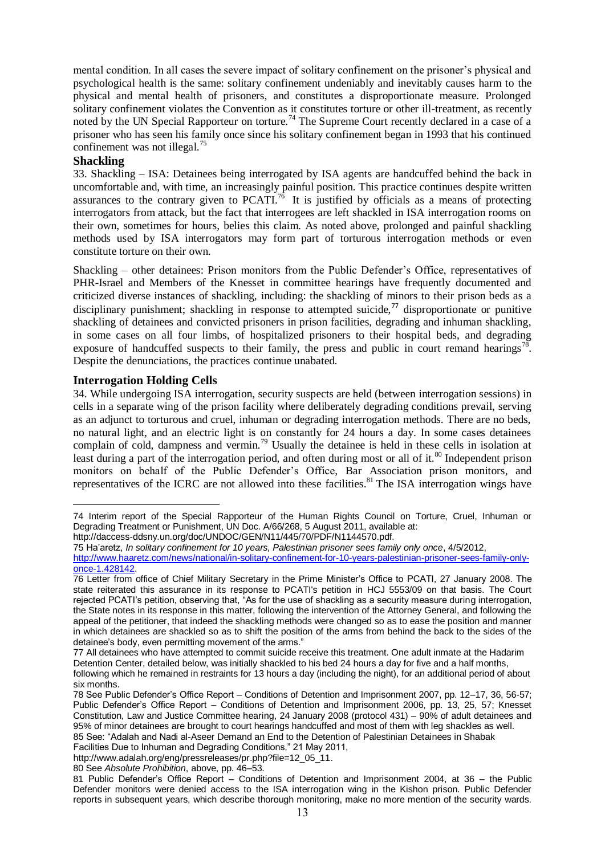mental condition. In all cases the severe impact of solitary confinement on the prisoner's physical and psychological health is the same: solitary confinement undeniably and inevitably causes harm to the physical and mental health of prisoners, and constitutes a disproportionate measure. Prolonged solitary confinement violates the Convention as it constitutes torture or other ill-treatment, as recently noted by the UN Special Rapporteur on torture.<sup>74</sup> The Supreme Court recently declared in a case of a prisoner who has seen his family once since his solitary confinement began in 1993 that his continued confinement was not illegal. $^{75}$ 

### **Shackling**

33. Shackling – ISA: Detainees being interrogated by ISA agents are handcuffed behind the back in uncomfortable and, with time, an increasingly painful position. This practice continues despite written assurances to the contrary given to  $PCATI^{76}$ . It is justified by officials as a means of protecting interrogators from attack, but the fact that interrogees are left shackled in ISA interrogation rooms on their own, sometimes for hours, belies this claim. As noted above, prolonged and painful shackling methods used by ISA interrogators may form part of torturous interrogation methods or even constitute torture on their own.

Shackling – other detainees: Prison monitors from the Public Defender's Office, representatives of PHR-Israel and Members of the Knesset in committee hearings have frequently documented and criticized diverse instances of shackling, including: the shackling of minors to their prison beds as a disciplinary punishment; shackling in response to attempted suicide,<sup>77</sup> disproportionate or punitive shackling of detainees and convicted prisoners in prison facilities, degrading and inhuman shackling, in some cases on all four limbs, of hospitalized prisoners to their hospital beds, and degrading exposure of handcuffed suspects to their family, the press and public in court remand hearings<sup>78</sup>. Despite the denunciations, the practices continue unabated.

### **Interrogation Holding Cells**

34. While undergoing ISA interrogation, security suspects are held (between interrogation sessions) in cells in a separate wing of the prison facility where deliberately degrading conditions prevail, serving as an adjunct to torturous and cruel, inhuman or degrading interrogation methods. There are no beds, no natural light, and an electric light is on constantly for 24 hours a day. In some cases detainees complain of cold, dampness and vermin.<sup>79</sup> Usually the detainee is held in these cells in isolation at least during a part of the interrogation period, and often during most or all of it.<sup>80</sup> Independent prison monitors on behalf of the Public Defender's Office, Bar Association prison monitors, and representatives of the ICRC are not allowed into these facilities.<sup>81</sup> The ISA interrogation wings have

http://daccess-ddsny.un.org/doc/UNDOC/GEN/N11/445/70/PDF/N1144570.pdf.

Facilities Due to Inhuman and Degrading Conditions," 21 May 2011,

80 See *Absolute Prohibition*, above, pp. 46–53.

<sup>&</sup>lt;u>.</u> 74 Interim report of the Special Rapporteur of the Human Rights Council on Torture, Cruel, Inhuman or Degrading Treatment or Punishment, UN Doc. A/66/268, 5 August 2011, available at:

<sup>75</sup> Ha'aretz, *In solitary confinement for 10 years, Palestinian prisoner sees family only once*, 4/5/2012,

[http://www.haaretz.com/news/national/in-solitary-confinement-for-10-years-palestinian-prisoner-sees-family-only](http://www.haaretz.com/news/national/in-solitary-confinement-for-10-years-palestinian-prisoner-sees-family-only-once-1.428142)[once-1.428142.](http://www.haaretz.com/news/national/in-solitary-confinement-for-10-years-palestinian-prisoner-sees-family-only-once-1.428142) 

<sup>76</sup> Letter from office of Chief Military Secretary in the Prime Minister's Office to PCATI, 27 January 2008. The state reiterated this assurance in its response to PCATI's petition in HCJ 5553/09 on that basis. The Court rejected PCATI's petition, observing that, "As for the use of shackling as a security measure during interrogation, the State notes in its response in this matter, following the intervention of the Attorney General, and following the appeal of the petitioner, that indeed the shackling methods were changed so as to ease the position and manner in which detainees are shackled so as to shift the position of the arms from behind the back to the sides of the detainee's body, even permitting movement of the arms."

<sup>77</sup> All detainees who have attempted to commit suicide receive this treatment. One adult inmate at the Hadarim Detention Center, detailed below, was initially shackled to his bed 24 hours a day for five and a half months, following which he remained in restraints for 13 hours a day (including the night), for an additional period of about six months.

<sup>78</sup> See Public Defender's Office Report – Conditions of Detention and Imprisonment 2007, pp. 12–17, 36, 56-57; Public Defender's Office Report – Conditions of Detention and Imprisonment 2006, pp. 13, 25, 57; Knesset Constitution, Law and Justice Committee hearing, 24 January 2008 (protocol 431) – 90% of adult detainees and 95% of minor detainees are brought to court hearings handcuffed and most of them with leg shackles as well. 85 See: "Adalah and Nadi al-Aseer Demand an End to the Detention of Palestinian Detainees in Shabak

[http://www.adalah.org/eng/pressreleases/pr.php?file=12\\_05\\_11.](http://www.adalah.org/eng/pressreleases/pr.php?file=12_05_11)

<sup>81</sup> Public Defender's Office Report – Conditions of Detention and Imprisonment 2004, at 36 – the Public Defender monitors were denied access to the ISA interrogation wing in the Kishon prison. Public Defender reports in subsequent years, which describe thorough monitoring, make no more mention of the security wards.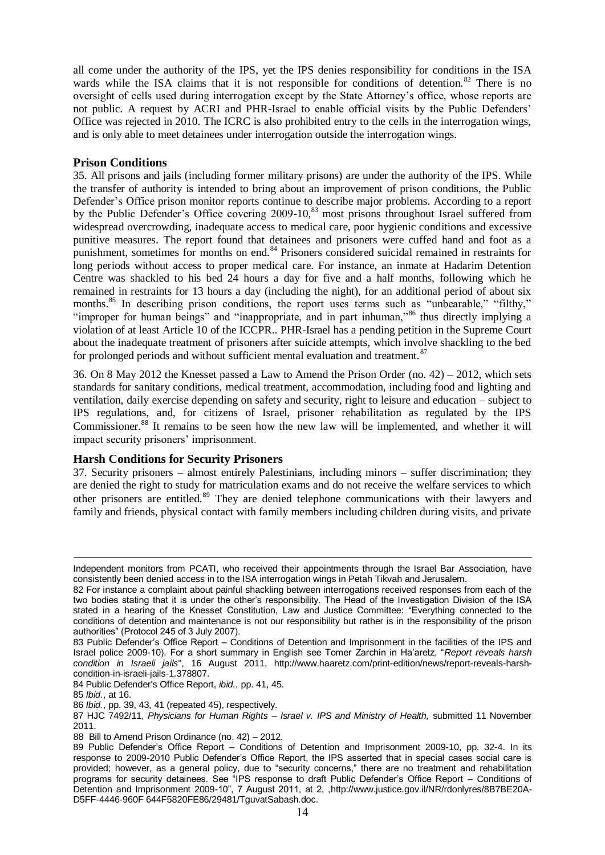all come under the authority of the IPS, yet the IPS denies responsibility for conditions in the ISA wards while the ISA claims that it is not responsible for conditions of detention.<sup>82</sup> There is no oversight of cells used during interrogation except by the State Attorney's office, whose reports are not public. A request by ACRI and PHR-Israel to enable official visits by the Public Defenders' Office was rejected in 2010. The ICRC is also prohibited entry to the cells in the interrogation wings, and is only able to meet detainees under interrogation outside the interrogation wings.

### **Prison Conditions**

35. All prisons and jails (including former military prisons) are under the authority of the IPS. While the transfer of authority is intended to bring about an improvement of prison conditions, the Public Defender's Office prison monitor reports continue to describe major problems. According to a report by the Public Defender's Office covering 2009-10,<sup>83</sup> most prisons throughout Israel suffered from widespread overcrowding, inadequate access to medical care, poor hygienic conditions and excessive punitive measures. The report found that detainees and prisoners were cuffed hand and foot as a punishment, sometimes for months on end.<sup>84</sup> Prisoners considered suicidal remained in restraints for long periods without access to proper medical care. For instance, an inmate at Hadarim Detention Centre was shackled to his bed 24 hours a day for five and a half months, following which he remained in restraints for 13 hours a day (including the night), for an additional period of about six months.<sup>85</sup> In describing prison conditions, the report uses terms such as "unbearable," "filthy," "improper for human beings" and "inappropriate, and in part inhuman,"<sup>86</sup> thus directly implying a violation of at least Article 10 of the ICCPR.. PHR-Israel has a pending petition in the Supreme Court about the inadequate treatment of prisoners after suicide attempts, which involve shackling to the bed for prolonged periods and without sufficient mental evaluation and treatment.<sup>87</sup>

36. On 8 May 2012 the Knesset passed a Law to Amend the Prison Order (no. 42) – 2012, which sets standards for sanitary conditions, medical treatment, accommodation, including food and lighting and ventilation, daily exercise depending on safety and security, right to leisure and education – subject to IPS regulations, and, for citizens of Israel, prisoner rehabilitation as regulated by the IPS Commissioner.<sup>88</sup> It remains to be seen how the new law will be implemented, and whether it will impact security prisoners' imprisonment.

### **Harsh Conditions for Security Prisoners**

37. Security prisoners – almost entirely Palestinians, including minors – suffer discrimination; they are denied the right to study for matriculation exams and do not receive the welfare services to which other prisoners are entitled.<sup>89</sup> They are denied telephone communications with their lawyers and family and friends, physical contact with family members including children during visits, and private

84 Public Defender's Office Report, *ibid.*, pp. 41, 45.

 $\overline{a}$ 

86 *Ibid.*, pp. 39, 43, 41 (repeated 45), respectively.

Independent monitors from PCATI, who received their appointments through the Israel Bar Association, have consistently been denied access in to the ISA interrogation wings in Petah Tikvah and Jerusalem.

<sup>82</sup> For instance a complaint about painful shackling between interrogations received responses from each of the two bodies stating that it is under the other's responsibility. The Head of the Investigation Division of the ISA stated in a hearing of the Knesset Constitution, Law and Justice Committee: "Everything connected to the conditions of detention and maintenance is not our responsibility but rather is in the responsibility of the prison authorities" (Protocol 245 of 3 July 2007).

<sup>83</sup> Public Defender's Office Report – Conditions of Detention and Imprisonment in the facilities of the IPS and Israel police 2009-10). For a short summary in English see Tomer Zarchin in Ha'aretz, "*Report reveals harsh condition in Israeli jails*", 16 August 2011, [http://www.haaretz.com/print-edition/news/report-reveals-harsh](http://www.haaretz.com/print-edition/news/report-reveals-harsh-condition-in-israeli-jails-1.378807)[condition-in-israeli-jails-1.378807.](http://www.haaretz.com/print-edition/news/report-reveals-harsh-condition-in-israeli-jails-1.378807)

<sup>85</sup> *Ibid.*, at 16.

<sup>87</sup> HJC 7492/11, *Physicians for Human Rights – Israel v. IPS and Ministry of Health,* submitted 11 November 2011.

<sup>88</sup> Bill to Amend Prison Ordinance (no. 42) – 2012.

<sup>89</sup> Public Defender's Office Report – Conditions of Detention and Imprisonment 2009-10, pp. 32-4. In its response to 2009-2010 Public Defender's Office Report, the IPS asserted that in special cases social care is provided; however, as a general policy, due to "security concerns," there are no treatment and rehabilitation programs for security detainees. See "IPS response to draft Public Defender's Office Report – Conditions of Detention and Imprisonment 2009-10", 7 August 2011, at 2, [,http://www.justice.gov.il/NR/rdonlyres/8B7BE20A-](http://www.justice.gov.il/NR/rdonlyres/8B7BE20A-D5FF-4446-960F%20644F5820FE86/29481/TguvatSabash.doc)[D5FF-4446-960F 644F5820FE86/29481/TguvatSabash.doc.](http://www.justice.gov.il/NR/rdonlyres/8B7BE20A-D5FF-4446-960F%20644F5820FE86/29481/TguvatSabash.doc)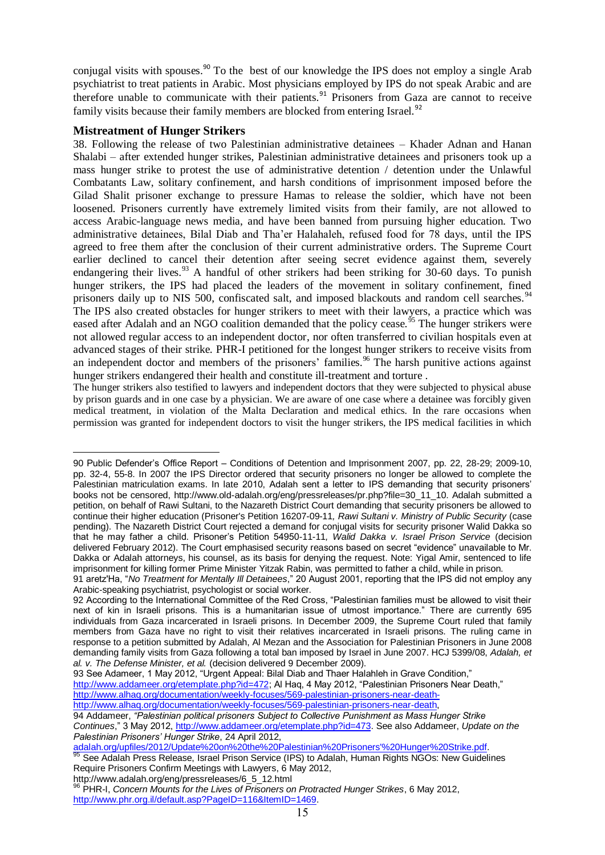conjugal visits with spouses.<sup>90</sup> To the best of our knowledge the IPS does not employ a single Arab psychiatrist to treat patients in Arabic. Most physicians employed by IPS do not speak Arabic and are therefore unable to communicate with their patients.<sup>91</sup> Prisoners from Gaza are cannot to receive family visits because their family members are blocked from entering Israel.<sup>92</sup>

### **Mistreatment of Hunger Strikers**

38. Following the release of two Palestinian administrative detainees – Khader Adnan and Hanan Shalabi – after extended hunger strikes, Palestinian administrative detainees and prisoners took up a mass hunger strike to protest the use of administrative detention / detention under the Unlawful Combatants Law, solitary confinement, and harsh conditions of imprisonment imposed before the Gilad Shalit prisoner exchange to pressure Hamas to release the soldier, which have not been loosened. Prisoners currently have extremely limited visits from their family, are not allowed to access Arabic-language news media, and have been banned from pursuing higher education. Two administrative detainees, Bilal Diab and Tha'er Halahaleh, refused food for 78 days, until the IPS agreed to free them after the conclusion of their current administrative orders. The Supreme Court earlier declined to cancel their detention after seeing secret evidence against them, severely endangering their lives.<sup>93</sup> A handful of other strikers had been striking for 30-60 days. To punish hunger strikers, the IPS had placed the leaders of the movement in solitary confinement, fined prisoners daily up to NIS 500, confiscated salt, and imposed blackouts and random cell searches.<sup>94</sup> The IPS also created obstacles for hunger strikers to meet with their lawyers, a practice which was eased after Adalah and an NGO coalition demanded that the policy cease.<sup> $55$ </sup> The hunger strikers were not allowed regular access to an independent doctor, nor often transferred to civilian hospitals even at advanced stages of their strike. PHR-I petitioned for the longest hunger strikers to receive visits from an independent doctor and members of the prisoners' families.<sup>96</sup> The harsh punitive actions against hunger strikers endangered their health and constitute ill-treatment and torture.

The hunger strikers also testified to lawyers and independent doctors that they were subjected to physical abuse by prison guards and in one case by a physician. We are aware of one case where a detainee was forcibly given medical treatment, in violation of the Malta Declaration and medical ethics. In the rare occasions when permission was granted for independent doctors to visit the hunger strikers, the IPS medical facilities in which

[http://www.alhaq.org/documentation/weekly-focuses/569-palestinian-prisoners-near-death,](http://www.alhaq.org/documentation/weekly-focuses/569-palestinian-prisoners-near-death-http:/www.alhaq.org/documentation/weekly-focuses/569-palestinian-prisoners-near-death) 

<sup>1</sup> 90 Public Defender's Office Report – Conditions of Detention and Imprisonment 2007, pp. 22, 28-29; 2009-10, pp. 32-4, 55-8. In 2007 the IPS Director ordered that security prisoners no longer be allowed to complete the Palestinian matriculation exams. In late 2010, Adalah sent a letter to IPS demanding that security prisoners' books not be censored, [http://www.old-adalah.org/eng/pressreleases/pr.php?file=30\\_11\\_10.](http://www.old-adalah.org/eng/pressreleases/pr.php?file=30_11_10) Adalah submitted a petition, on behalf of Rawi Sultani, to the Nazareth District Court demanding that security prisoners be allowed to continue their higher education (Prisoner's Petition 16207-09-11*, Rawi Sultani v. Ministry of Public Security* (case pending). The Nazareth District Court rejected a demand for conjugal visits for security prisoner Walid Dakka so that he may father a child. Prisoner's Petition 54950-11-11*, Walid Dakka v. Israel Prison Service* (decision delivered February 2012). The Court emphasised security reasons based on secret "evidence" unavailable to Mr. Dakka or Adalah attorneys, his counsel, as its basis for denying the request. Note: Yigal Amir, sentenced to life imprisonment for killing former Prime Minister Yitzak Rabin, was permitted to father a child, while in prison.

<sup>91</sup> aretz'Ha, "No Treatment for Mentally III Detainees," 20 August 2001, reporting that the IPS did not employ any Arabic-speaking psychiatrist, psychologist or social worker.

<sup>92</sup> According to the International Committee of the Red Cross, "Palestinian families must be allowed to visit their next of kin in Israeli prisons. This is a humanitarian issue of utmost importance." There are currently 695 individuals from Gaza incarcerated in Israeli prisons. In December 2009, the Supreme Court ruled that family members from Gaza have no right to visit their relatives incarcerated in Israeli prisons. The ruling came in response to a petition submitted by Adalah, Al Mezan and the Association for Palestinian Prisoners in June 2008 demanding family visits from Gaza following a total ban imposed by Israel in June 2007. HCJ 5399/08, *Adalah, et al. v. The Defense Minister, et al.* (decision delivered 9 December 2009).

<sup>93</sup> See Adameer, 1 May 2012, "Urgent Appeal: Bilal Diab and Thaer Halahleh in Grave Condition,"

[http://www.addameer.org/etemplate.php?id=472;](http://www.addameer.org/etemplate.php?id=472) Al Haq, 4 May 2012, "Palestinian Prisoners Near Death," [http://www.alhaq.org/documentation/weekly-focuses/569-palestinian-prisoners-near-death-](http://www.alhaq.org/documentation/weekly-focuses/569-palestinian-prisoners-near-death-http:/www.alhaq.org/documentation/weekly-focuses/569-palestinian-prisoners-near-death)

<sup>94</sup> Addameer, *"Palestinian political prisoners Subject to Collective Punishment as Mass Hunger Strike* 

*Continues*," 3 May 2012[, http://www.addameer.org/etemplate.php?id=473.](http://www.addameer.org/etemplate.php?id=473) See also Addameer, *Update on the Palestinian Prisoners' Hunger Strike*, 24 April 2012,

[adalah.org/upfiles/2012/Update%20on%20the%20Palestinian%20Prisoners'%20Hunger%20Strike.pdf.](http://www.adalah.org/upfiles/2012/Update%20on%20the%20Palestinian%20Prisoners) <sup>95</sup> See Adalah Press Release, Israel Prison Service (IPS) to Adalah, Human Rights NGOs: New Guidelines Require Prisoners Confirm Meetings with Lawyers, 6 May 2012,

http://www.adalah.org/eng/pressreleases/6\_5\_12.html

<sup>96</sup> PHR-I, Concern Mounts for the Lives of Prisoners on Protracted Hunger Strikes, 6 May 2012, [http://www.phr.org.il/default.asp?PageID=116&ItemID=1469.](http://www.phr.org.il/default.asp?PageID=116&ItemID=1469)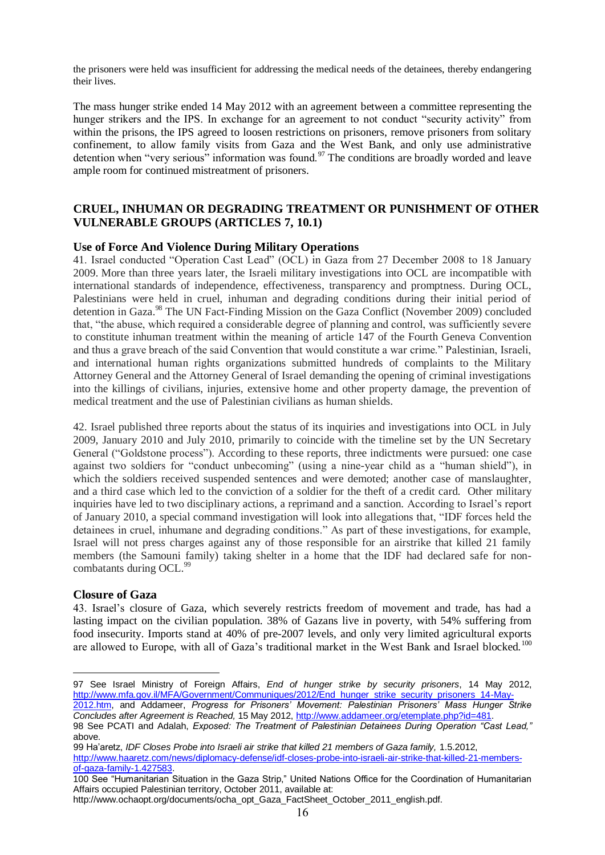the prisoners were held was insufficient for addressing the medical needs of the detainees, thereby endangering their lives.

The mass hunger strike ended 14 May 2012 with an agreement between a committee representing the hunger strikers and the IPS. In exchange for an agreement to not conduct "security activity" from within the prisons, the IPS agreed to loosen restrictions on prisoners, remove prisoners from solitary confinement, to allow family visits from Gaza and the West Bank, and only use administrative detention when "very serious" information was found.<sup>97</sup> The conditions are broadly worded and leave ample room for continued mistreatment of prisoners.

# **CRUEL, INHUMAN OR DEGRADING TREATMENT OR PUNISHMENT OF OTHER VULNERABLE GROUPS (ARTICLES 7, 10.1)**

### **Use of Force And Violence During Military Operations**

41. Israel conducted "Operation Cast Lead" (OCL) in Gaza from 27 December 2008 to 18 January 2009. More than three years later, the Israeli military investigations into OCL are incompatible with international standards of independence, effectiveness, transparency and promptness. During OCL, Palestinians were held in cruel, inhuman and degrading conditions during their initial period of detention in Gaza.<sup>98</sup> The UN Fact-Finding Mission on the Gaza Conflict (November 2009) concluded that, "the abuse, which required a considerable degree of planning and control, was sufficiently severe to constitute inhuman treatment within the meaning of article 147 of the Fourth Geneva Convention and thus a grave breach of the said Convention that would constitute a war crime." Palestinian, Israeli, and international human rights organizations submitted hundreds of complaints to the Military Attorney General and the Attorney General of Israel demanding the opening of criminal investigations into the killings of civilians, injuries, extensive home and other property damage, the prevention of medical treatment and the use of Palestinian civilians as human shields.

42. Israel published three reports about the status of its inquiries and investigations into OCL in July 2009, January 2010 and July 2010, primarily to coincide with the timeline set by the UN Secretary General ("Goldstone process"). According to these reports, three indictments were pursued: one case against two soldiers for "conduct unbecoming" (using a nine-year child as a "human shield"), in which the soldiers received suspended sentences and were demoted; another case of manslaughter, and a third case which led to the conviction of a soldier for the theft of a credit card. Other military inquiries have led to two disciplinary actions, a reprimand and a sanction. According to Israel's report of January 2010, a special command investigation will look into allegations that, "IDF forces held the detainees in cruel, inhumane and degrading conditions." As part of these investigations, for example, Israel will not press charges against any of those responsible for an airstrike that killed 21 family members (the Samouni family) taking shelter in a home that the IDF had declared safe for noncombatants during OCL.<sup>99</sup>

#### **Closure of Gaza**

<u>.</u>

43. Israel's closure of Gaza, which severely restricts freedom of movement and trade, has had a lasting impact on the civilian population. 38% of Gazans live in poverty, with 54% suffering from food insecurity. Imports stand at 40% of pre-2007 levels, and only very limited agricultural exports are allowed to Europe, with all of Gaza's traditional market in the West Bank and Israel blocked.<sup>100</sup>

*Concludes after Agreement is Reached,* 15 May 2012, [http://www.addameer.org/etemplate.php?id=481.](http://www.addameer.org/etemplate.php?id=481) 98 See PCATI and Adalah, *Exposed: The Treatment of Palestinian Detainees During Operation "Cast Lead,"* 

<sup>97</sup> See Israel Ministry of Foreign Affairs, *End of hunger strike by security prisoners*, 14 May 2012, [http://www.mfa.gov.il/MFA/Government/Communiques/2012/End\\_hunger\\_strike\\_security\\_prisoners\\_14-May-](http://www.mfa.gov.il/MFA/Government/Communiques/2012/End_hunger_strike_security_prisoners_14-May-2012.htm)[2012.htm,](http://www.mfa.gov.il/MFA/Government/Communiques/2012/End_hunger_strike_security_prisoners_14-May-2012.htm) and Addameer, *Progress for Prisoners' Movement: Palestinian Prisoners' Mass Hunger Strike* 

above. 99 Ha'aretz, *IDF Closes Probe into Israeli air strike that killed 21 members of Gaza family,* 1.5.2012,

[http://www.haaretz.com/news/diplomacy-defense/idf-closes-probe-into-israeli-air-strike-that-killed-21-members](http://www.haaretz.com/news/diplomacy-defense/idf-closes-probe-into-israeli-air-strike-that-killed-21-members-of-gaza-family-1.427583)[of-gaza-family-1.427583.](http://www.haaretz.com/news/diplomacy-defense/idf-closes-probe-into-israeli-air-strike-that-killed-21-members-of-gaza-family-1.427583) 

<sup>100</sup> See "Humanitarian Situation in the Gaza Strip," United Nations Office for the Coordination of Humanitarian Affairs occupied Palestinian territory, October 2011, available at:

http://www.ochaopt.org/documents/ocha\_opt\_Gaza\_FactSheet\_October\_2011\_english.pdf.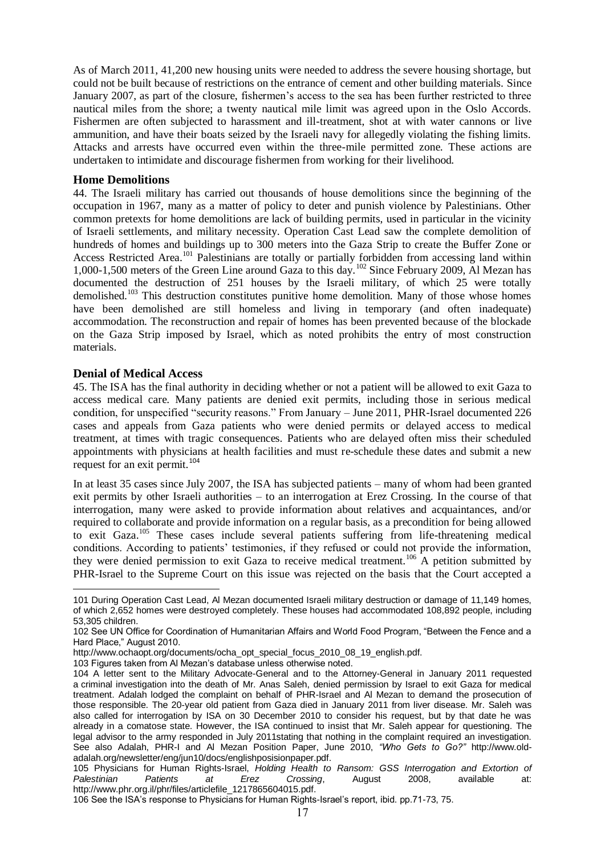As of March 2011, 41,200 new housing units were needed to address the severe housing shortage, but could not be built because of restrictions on the entrance of cement and other building materials. Since January 2007, as part of the closure, fishermen's access to the sea has been further restricted to three nautical miles from the shore; a twenty nautical mile limit was agreed upon in the Oslo Accords. Fishermen are often subjected to harassment and ill-treatment, shot at with water cannons or live ammunition, and have their boats seized by the Israeli navy for allegedly violating the fishing limits. Attacks and arrests have occurred even within the three-mile permitted zone. These actions are undertaken to intimidate and discourage fishermen from working for their livelihood.

#### **Home Demolitions**

44. The Israeli military has carried out thousands of house demolitions since the beginning of the occupation in 1967, many as a matter of policy to deter and punish violence by Palestinians. Other common pretexts for home demolitions are lack of building permits, used in particular in the vicinity of Israeli settlements, and military necessity. Operation Cast Lead saw the complete demolition of hundreds of homes and buildings up to 300 meters into the Gaza Strip to create the Buffer Zone or Access Restricted Area.<sup>101</sup> Palestinians are totally or partially forbidden from accessing land within 1,000-1,500 meters of the Green Line around Gaza to this day.<sup>102</sup> Since February 2009, Al Mezan has documented the destruction of 251 houses by the Israeli military, of which 25 were totally demolished.<sup>103</sup> This destruction constitutes punitive home demolition. Many of those whose homes have been demolished are still homeless and living in temporary (and often inadequate) accommodation. The reconstruction and repair of homes has been prevented because of the blockade on the Gaza Strip imposed by Israel, which as noted prohibits the entry of most construction materials.

#### **Denial of Medical Access**

<u>.</u>

45. The ISA has the final authority in deciding whether or not a patient will be allowed to exit Gaza to access medical care. Many patients are denied exit permits, including those in serious medical condition, for unspecified "security reasons." From January – June 2011, PHR-Israel documented 226 cases and appeals from Gaza patients who were denied permits or delayed access to medical treatment, at times with tragic consequences. Patients who are delayed often miss their scheduled appointments with physicians at health facilities and must re-schedule these dates and submit a new request for an exit permit.<sup>104</sup>

In at least 35 cases since July 2007, the ISA has subjected patients – many of whom had been granted exit permits by other Israeli authorities – to an interrogation at Erez Crossing. In the course of that interrogation, many were asked to provide information about relatives and acquaintances, and/or required to collaborate and provide information on a regular basis, as a precondition for being allowed to exit Gaza.<sup>105</sup> These cases include several patients suffering from life-threatening medical conditions. According to patients' testimonies, if they refused or could not provide the information, they were denied permission to exit Gaza to receive medical treatment.<sup>106</sup> A petition submitted by PHR-Israel to the Supreme Court on this issue was rejected on the basis that the Court accepted a

<sup>101</sup> During Operation Cast Lead, Al Mezan documented Israeli military destruction or damage of 11,149 homes, of which 2,652 homes were destroyed completely. These houses had accommodated 108,892 people, including 53,305 children.

<sup>102</sup> See UN Office for Coordination of Humanitarian Affairs and World Food Program, "Between the Fence and a Hard Place," August 2010.

http://www.ochaopt.org/documents/ocha\_opt\_special\_focus\_2010\_08\_19\_english.pdf.

<sup>103</sup> Figures taken from Al Mezan's database unless otherwise noted.

<sup>104</sup> A letter sent to the Military Advocate-General and to the Attorney-General in January 2011 requested a criminal investigation into the death of Mr. Anas Saleh, denied permission by Israel to exit Gaza for medical treatment. Adalah lodged the complaint on behalf of PHR-Israel and Al Mezan to demand the prosecution of those responsible. The 20-year old patient from Gaza died in January 2011 from liver disease. Mr. Saleh was also called for interrogation by ISA on 30 December 2010 to consider his request, but by that date he was already in a comatose state. However, the ISA continued to insist that Mr. Saleh appear for questioning. The legal advisor to the army responded in July 2011stating that nothing in the complaint required an investigation. See also Adalah, PHR-I and Al Mezan Position Paper, June 2010, *"Who Gets to Go?"* http://www.oldadalah.org/newsletter/eng/jun10/docs/englishposisionpaper.pdf.

<sup>105</sup> Physicians for Human Rights-Israel, *Holding Health to Ransom: GSS Interrogation and Extortion of Palestinian Patients at Erez Crossing*, August 2008, available at: [http://www.phr.org.il/phr/files/articlefile\\_1217865604015.pdf.](http://www.phr.org.il/phr/files/articlefile_1217865604015.pdf)

<sup>106</sup> See the ISA's response to Physicians for Human Rights-Israel's report, ibid. pp.71-73, 75.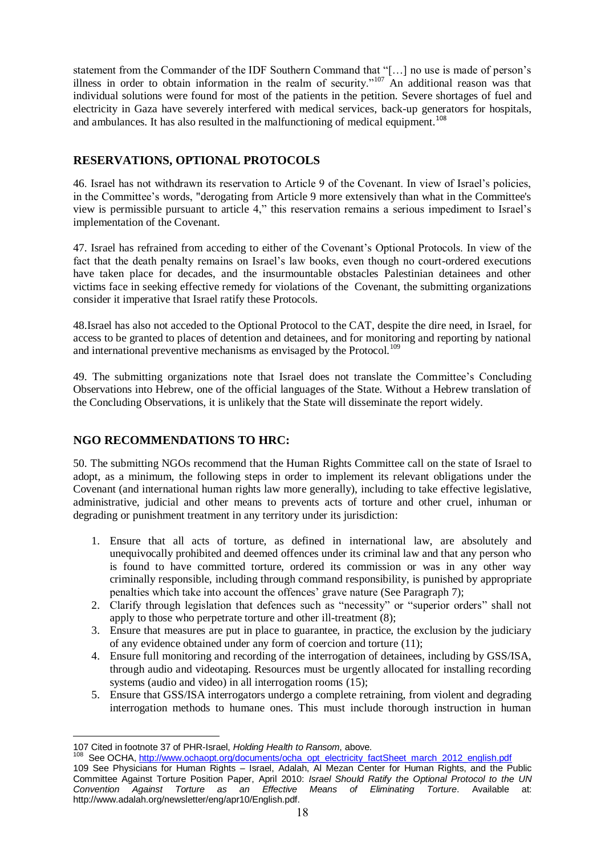statement from the Commander of the IDF Southern Command that "[…] no use is made of person's illness in order to obtain information in the realm of security."<sup>107</sup> An additional reason was that individual solutions were found for most of the patients in the petition. Severe shortages of fuel and electricity in Gaza have severely interfered with medical services, back-up generators for hospitals, and ambulances. It has also resulted in the malfunctioning of medical equipment.<sup>108</sup>

# **RESERVATIONS, OPTIONAL PROTOCOLS**

46. Israel has not withdrawn its reservation to Article 9 of the Covenant. In view of Israel's policies, in the Committee's words, "derogating from Article 9 more extensively than what in the Committee's view is permissible pursuant to article 4," this reservation remains a serious impediment to Israel's implementation of the Covenant.

47. Israel has refrained from acceding to either of the Covenant's Optional Protocols. In view of the fact that the death penalty remains on Israel's law books, even though no court-ordered executions have taken place for decades, and the insurmountable obstacles Palestinian detainees and other victims face in seeking effective remedy for violations of the Covenant, the submitting organizations consider it imperative that Israel ratify these Protocols.

48.Israel has also not acceded to the Optional Protocol to the CAT, despite the dire need, in Israel, for access to be granted to places of detention and detainees, and for monitoring and reporting by national and international preventive mechanisms as envisaged by the Protocol.<sup>109</sup>

49. The submitting organizations note that Israel does not translate the Committee's Concluding Observations into Hebrew, one of the official languages of the State. Without a Hebrew translation of the Concluding Observations, it is unlikely that the State will disseminate the report widely.

# **NGO RECOMMENDATIONS TO HRC:**

50. The submitting NGOs recommend that the Human Rights Committee call on the state of Israel to adopt, as a minimum, the following steps in order to implement its relevant obligations under the Covenant (and international human rights law more generally), including to take effective legislative, administrative, judicial and other means to prevents acts of torture and other cruel, inhuman or degrading or punishment treatment in any territory under its jurisdiction:

- 1. Ensure that all acts of torture, as defined in international law, are absolutely and unequivocally prohibited and deemed offences under its criminal law and that any person who is found to have committed torture, ordered its commission or was in any other way criminally responsible, including through command responsibility, is punished by appropriate penalties which take into account the offences' grave nature (See Paragraph 7);
- 2. Clarify through legislation that defences such as "necessity" or "superior orders" shall not apply to those who perpetrate torture and other ill-treatment (8);
- 3. Ensure that measures are put in place to guarantee, in practice, the exclusion by the judiciary of any evidence obtained under any form of coercion and torture (11);
- 4. Ensure full monitoring and recording of the interrogation of detainees, including by GSS/ISA, through audio and videotaping. Resources must be urgently allocated for installing recording systems (audio and video) in all interrogation rooms (15);
- 5. Ensure that GSS/ISA interrogators undergo a complete retraining, from violent and degrading interrogation methods to humane ones. This must include thorough instruction in human

<sup>&</sup>lt;u>.</u> 107 Cited in footnote 37 of PHR-Israel, *Holding Health to Ransom*, above.

<sup>108</sup> See OCHA[, http://www.ochaopt.org/documents/ocha\\_opt\\_electricity\\_factSheet\\_march\\_2012\\_english.pdf](http://www.ochaopt.org/documents/ocha_opt_electricity_factSheet_march_2012_english.pdf) 109 See Physicians for Human Rights – Israel, Adalah, Al Mezan Center for Human Rights, and the Public Committee Against Torture Position Paper, April 2010: *Israel Should Ratify the Optional Protocol to the UN Convention Against Torture as an Effective Means of Eliminating Torture*. Available at: http://www.adalah.org/newsletter/eng/apr10/English.pdf.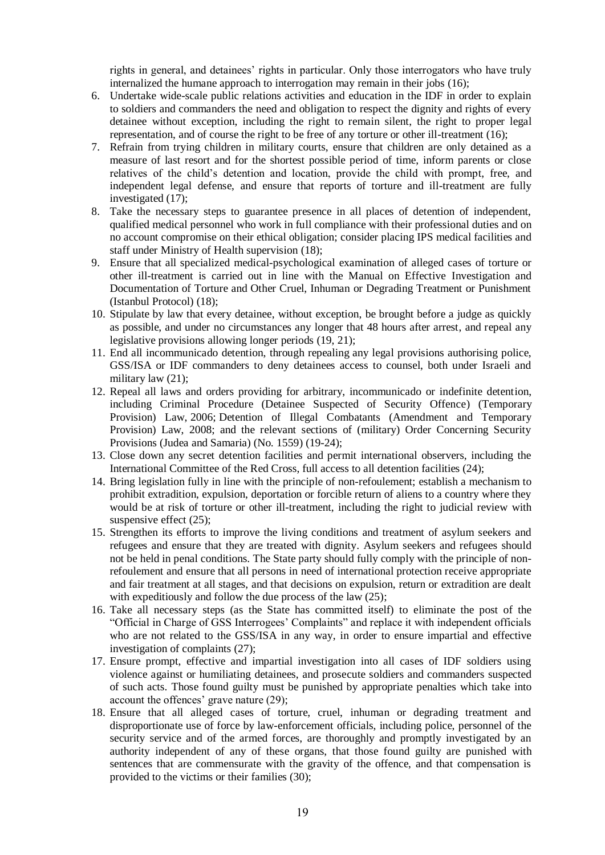rights in general, and detainees' rights in particular. Only those interrogators who have truly internalized the humane approach to interrogation may remain in their jobs (16);

- 6. Undertake wide-scale public relations activities and education in the IDF in order to explain to soldiers and commanders the need and obligation to respect the dignity and rights of every detainee without exception, including the right to remain silent, the right to proper legal representation, and of course the right to be free of any torture or other ill-treatment (16);
- 7. Refrain from trying children in military courts, ensure that children are only detained as a measure of last resort and for the shortest possible period of time, inform parents or close relatives of the child's detention and location, provide the child with prompt, free, and independent legal defense, and ensure that reports of torture and ill-treatment are fully investigated (17);
- 8. Take the necessary steps to guarantee presence in all places of detention of independent, qualified medical personnel who work in full compliance with their professional duties and on no account compromise on their ethical obligation; consider placing IPS medical facilities and staff under Ministry of Health supervision (18);
- 9. Ensure that all specialized medical-psychological examination of alleged cases of torture or other ill-treatment is carried out in line with the Manual on Effective Investigation and Documentation of Torture and Other Cruel, Inhuman or Degrading Treatment or Punishment (Istanbul Protocol) (18);
- 10. Stipulate by law that every detainee, without exception, be brought before a judge as quickly as possible, and under no circumstances any longer that 48 hours after arrest, and repeal any legislative provisions allowing longer periods (19, 21);
- 11. End all incommunicado detention, through repealing any legal provisions authorising police, GSS/ISA or IDF commanders to deny detainees access to counsel, both under Israeli and military law (21);
- 12. Repeal all laws and orders providing for arbitrary, incommunicado or indefinite detention, including Criminal Procedure (Detainee Suspected of Security Offence) (Temporary Provision) Law, 2006; Detention of Illegal Combatants (Amendment and Temporary Provision) Law, 2008; and the relevant sections of (military) Order Concerning Security Provisions (Judea and Samaria) (No. 1559) (19-24);
- 13. Close down any secret detention facilities and permit international observers, including the International Committee of the Red Cross, full access to all detention facilities (24);
- 14. Bring legislation fully in line with the principle of non-refoulement; establish a mechanism to prohibit extradition, expulsion, deportation or forcible return of aliens to a country where they would be at risk of torture or other ill-treatment, including the right to judicial review with suspensive effect (25);
- 15. Strengthen its efforts to improve the living conditions and treatment of asylum seekers and refugees and ensure that they are treated with dignity. Asylum seekers and refugees should not be held in penal conditions. The State party should fully comply with the principle of nonrefoulement and ensure that all persons in need of international protection receive appropriate and fair treatment at all stages, and that decisions on expulsion, return or extradition are dealt with expeditiously and follow the due process of the law  $(25)$ ;
- 16. Take all necessary steps (as the State has committed itself) to eliminate the post of the "Official in Charge of GSS Interrogees' Complaints" and replace it with independent officials who are not related to the GSS/ISA in any way, in order to ensure impartial and effective investigation of complaints (27);
- 17. Ensure prompt, effective and impartial investigation into all cases of IDF soldiers using violence against or humiliating detainees, and prosecute soldiers and commanders suspected of such acts. Those found guilty must be punished by appropriate penalties which take into account the offences' grave nature (29);
- 18. Ensure that all alleged cases of torture, cruel, inhuman or degrading treatment and disproportionate use of force by law-enforcement officials, including police, personnel of the security service and of the armed forces, are thoroughly and promptly investigated by an authority independent of any of these organs, that those found guilty are punished with sentences that are commensurate with the gravity of the offence, and that compensation is provided to the victims or their families (30);